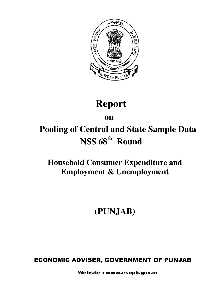

# **Report**

# **on on**

# **Pooling of Central and State Sample Data NSS 68th Round**

# **Household Consumer Expenditure and Employment & Unemployment**

# **(PUNJAB)**

# ECONOMIC ADVISER, GOVERNMENT OF PUNJAB

Website : www.esopb.gov.in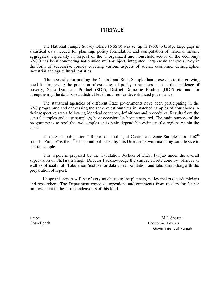### PREFACE

The National Sample Survey Office (NSSO) was set up in 1950, to bridge large gaps in statistical data needed for planning, policy formulation and computation of national income aggregates, especially in respect of the unorganized and household sector of the economy. NSSO has been conducting nationwide multi-subject, integrated, large-scale sample survey in the form of successive rounds covering various aspects of social, economic, demographic, industrial and agricultural statistics.

The necessity for pooling the Central and State Sample data arose due to the growing need for improving the precision of estimates of policy parameters such as the incidence of poverty, State Domestic Product (SDP), District Domestic Product (DDP) etc and for strengthening the data base at district level required for decentralized governance.

The statistical agencies of different State governments have been participating in the NSS programme and canvassing the same questionnaires in matched samples of households in their respective states following identical concepts, definitions and procedures. Results from the central samples and state sample(s) have occasionally been compared. The main purpose of the programme is to pool the two samples and obtain dependable estimates for regions within the states.

The present publication " Report on Pooling of Central and State Sample data of 68<sup>th</sup> round – Punjab" is the  $3<sup>rd</sup>$  of its kind published by this Directorate with matching sample size to central sample.

This report is prepared by the Tabulation Section of DES, Punjab under the overall supervision of Sh.Tirath Singh, Director.I acknowledge the sincere efforts done by officers as well as officials of Tabulation Section for data entry, validation and tabulation alongwith the preparation of report.

I hope this report will be of very much use to the planners, policy makers, academicians and researchers. The Department expects suggestions and comments from readers for further improvement in the future endeavours of this kind.

Dated: M.L.Sharma Chandigarh Economic Adviser Government of Punjab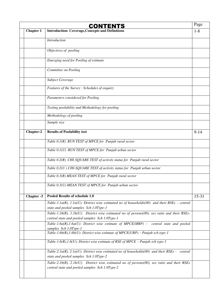|                  | CONTENTS                                                                                                                                      | Page      |
|------------------|-----------------------------------------------------------------------------------------------------------------------------------------------|-----------|
| <b>Chapter 1</b> | <b>Introduction: Coverage, Concepts and Definitions</b>                                                                                       | $1 - 8$   |
|                  | Introduction                                                                                                                                  |           |
|                  | Objectives of pooling                                                                                                                         |           |
|                  | Emerging need for Pooling of estimate                                                                                                         |           |
|                  | Committee on Pooling                                                                                                                          |           |
|                  | <b>Subject Coverage</b>                                                                                                                       |           |
|                  | Features of the Survey: Schedules of enquiry                                                                                                  |           |
|                  | Parameters considered for Pooling                                                                                                             |           |
|                  | Testing poolability and Methodology for pooling                                                                                               |           |
|                  | Methodology of pooling                                                                                                                        |           |
|                  | Sample size                                                                                                                                   |           |
| Chapter-2        | <b>Results of Poolability test</b>                                                                                                            | $9 - 14$  |
|                  | Table 0.1(R) RUN TEST of MPCE for Punjab rural sector                                                                                         |           |
|                  | Table 0.1(U) RUN TEST of MPCE for Punjab urban sector                                                                                         |           |
|                  | Table 0.2(R) CHI-SQUARE TEST of activity status for Punjab rural sector                                                                       |           |
|                  | Table 0.2(U) CHI-SQUARE TEST of activity status for Punjab urban sector                                                                       |           |
|                  | Table 0.3(R) MEAN TEST of MPCE for Punjab rural sector                                                                                        |           |
|                  | Table 0.3(U) MEAN TEST of MPCE for Punjab urban sector                                                                                        |           |
| Chapter -3       | Pooled Results of schedule 1.0                                                                                                                | $15 - 31$ |
|                  | Table-1.1a(R), 1.1a(U): District wise estimated no of households(00) and their RSEs – central<br>state and pooled samples Sch 1.0Type-1       |           |
|                  | Table-1.1b(R), 1.1b(U): District wise estimated no of persons(00), sex ratio and their RSEs-                                                  |           |
|                  | central state and pooled samples Sch 1.0Type-1                                                                                                |           |
|                  | Table-1.6a(R),1.6a(U): District wise estimate of $MPEC(MRP)$ – central state and pooled                                                       |           |
|                  | samples Sch 1.0Type-1<br>Table-1.6b(R), 1.6b(U): District wise estimate of $MPECE(URP) - Punjab$ sch type-1                                   |           |
|                  | Table-1.6(R),1.6(U): District wise estimate of RSE of MPCE - Punjab sch type-1                                                                |           |
|                  | Table-2.1a(R), 2.1a(U): District wise estimated no of households(00) and their RSEs - central<br>state and pooled samples Sch 1.0Type-2       |           |
|                  | Table-2.1b(R), 2.1b(U): District wise estimated no of persons(00), sex ratio and their RSEs<br>central state and pooled samples Sch 1.0Type-2 |           |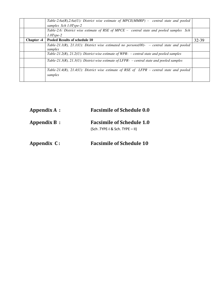|                   | Table-2.6a(R),2.6a(U): District wise estimate of MPCE(MMRP) – central state and pooled                |       |
|-------------------|-------------------------------------------------------------------------------------------------------|-------|
|                   | samples Sch 1.0Type-2                                                                                 |       |
|                   | Table-2.6: District wise estimate of RSE of MPCE – central state and pooled samples Sch               |       |
|                   | $1.0Type-2$                                                                                           |       |
| <b>Chapter -4</b> | <b>Pooled Results of schedule 10</b>                                                                  | 32-39 |
|                   | Table-21.1(R), 21.1(U): District wise estimated no persons(00)- – central state and pooled<br>samples |       |
|                   | Table-21.2(R), 21.2(U): District wise estimate of WPR- $-$ central state and pooled samples           |       |
|                   | Table-21.3(R), 21.3(U): District wise estimate of LFPR- – central state and pooled samples            |       |
|                   | Table-21.4(R), 21.4(U): District wise estimate of RSE of LFPR – central state and pooled<br>samples   |       |

| Appendix A : | <b>Facsimile of Schedule 0.0</b> |  |  |  |  |
|--------------|----------------------------------|--|--|--|--|
| Appendix B:  | <b>Facsimile of Schedule 1.0</b> |  |  |  |  |
|              | (Sch.TYPE-I & Sch.TYPE - II)     |  |  |  |  |
| Appendix C:  | <b>Facsimile of Schedule 10</b>  |  |  |  |  |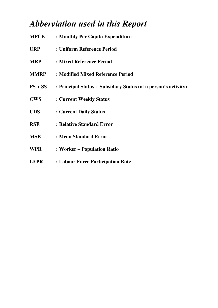# *Abberviation used in this Report*

| <b>MPCE</b> | : Monthly Per Capita Expenditure                               |
|-------------|----------------------------------------------------------------|
| <b>URP</b>  | : Uniform Reference Period                                     |
| <b>MRP</b>  | : Mixed Reference Period                                       |
| <b>MMRP</b> | : Modified Mixed Reference Period                              |
| $PS + SS$   | : Principal Status + Subsidary Status (of a person's activity) |
| <b>CWS</b>  | : Current Weekly Status                                        |
| <b>CDS</b>  | : Current Daily Status                                         |
| <b>RSE</b>  | : Relative Standard Error                                      |
| <b>MSE</b>  | : Mean Standard Error                                          |
| <b>WPR</b>  | : Worker - Population Ratio                                    |
| <b>LFPR</b> | : Labour Force Participation Rate                              |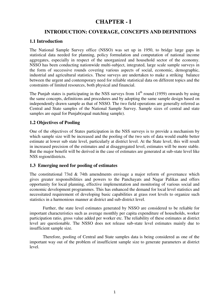# **CHAPTER - I**

### **INTRODUCTION: COVERAGE, CONCEPTS AND DEFINITIONS**

### **1.1 Introduction**

The National Sample Survey office (NSSO) was set up in 1950, to bridge large gaps in statistical data needed for planning, policy formulation and computation of national income aggregates, especially in respect of the unorganized and household sector of the economy. NSSO has been conducting nationwide multi-subject, integrated, large scale sample surveys in the form of successive rounds covering various aspects of social, economic, demographic, industrial and agricultural statistics. These surveys are undertaken to make a striking balance between the urgent and contemporary need for reliable statistical data on different topics and the constraints of limited resources, both physical and financial.

The Punjab states is participating in the NSS surveys from  $14<sup>th</sup>$  round (1959) onwards by using the same concepts, definitions and procedures and by adopting the same sample design based on independently drawn sample as that of NSSO. The two field operations are generally referred as Central and State samples of the National Sample Survey. Sample sizes of central and state samples are equal for Punjab(equal matching sample).

### **1.2 Objectives of Pooling**

One of the objectives of States participation in the NSS surveys is to provide a mechanism by which sample size will be increased and the pooling of the two sets of data would enable better estimate at lower sub state level, particularly at district level. At the State level, this will result in increased precision of the estimates and at disaggregated level, estimates will be more stable. But the major benefit will be derived in the case of estimates are generated at sub-state level like NSS region/districts.

### **1.3 Emerging need for pooling of estimates**

The constitutional 73rd  $\&$  74th amendments envisage a major reform of governance which gives greater responsibilities and powers to the Panchayats and Nagar Palikas and offers opportunity for local planning, effective implementation and monitoring of various social and economic development programmes. This has enhanced the demand for local level statistics and necessitated requirement of developing basic capabilities at grass root levels to organize such statistics in a harmonious manner at district and sub-district level.

Further, the state level estimates generated by NSSO are considered to be reliable for important characteristics such as average monthly per capita expenditure of households, worker participation ratio, gross value added per worker etc. The reliability of these estimates at district level are questionable. The NSSO does not release sub-state level estimates mainly due to insufficient sample size.

Therefore, pooling of Central and State samples data is being considered as one of the important way out of the problem of insufficient sample size to generate parameters at district level.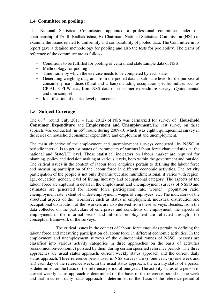### **1.4 Committee on pooling :**

The National Statistical Commission appointed a professional committee under the chairmanship of Dr. R. Radhakrishna, Ex-Chairman, National Statistical Commission (NSC) to examine the issues related to uniformity and comparability of pooled data. The Committee in its report gave a detailed methodology for pooling and also the tests for poolability. The terms of reference of the committee are as follows.

- Conditions to be fulfilled for pooling of central and state sample data of NSS
- Methodology for pooling
- Time frame by which the exercise needs to be completed by each state
- Generating weighing diagrams from the pooled data at sub-state level for the purpose of consumer price indices (Rural and Urban) including occupation specific indices such as CPIAL, CPIIW etc., from NSS data on consumer expenditure surveys (Quinquennial and thin sample)
- Identification of district level parameters

### **1.5 Subject Coverage**

The  $68<sup>th</sup>$  round (July 2011 – June 2012) of NSS was earmarked for survey of **Household Consumer Expenditure** and **Employment and Unemployment.** The last survey on these subjects was conducted in  $66<sup>th</sup>$  round during 2009-10 which was eighth quinquennial survey in the series on household consumer expenditure and employment and unemployment.

The main objective of the employment and unemployment surveys conducted by NSSO at periodic interval is to get estimates of parameters of various labour force characteristics at the national and State/UT level. These statistical indicators on labour market are required for planning, policy and decision making at various levels, both within the government and outside. The critical issues in the context of labour force enquiries pertain to defining the labour force and measuring participation of the labour force in different economic activities. The activity participation of the people is not only dynamic but also multidimensional, it varies with region, age, education, gender, level of living, industry and occupational category. The aspects of the labour force are captured in detail in the employment and unemployment surveys of NSSO and estimates are generated for labour force participation rate, worker population ratio, enemployment rate, extent of under-employment, wages of employees, etc. The indicators of the structural aspects of the workforce such as status in employment, industrial distribution and occupational distribution of the workers are also derived from these surveys. Besides, from the data collected on the particulars of enterprises and conditions of employment, the aspects of employment in the informal sector and informal employment are reflected through the conceptual framework of the surveys.

 The critical issues in the context of labour force enquiries pertain to defining the labour force and measuring participation of labour force in different economic activities. In the employment and unemployment surveys of the quinquennial rounds of NSSO, persons are classified into various activity categories in three approaches on the basis of activities (economic/non-economic) pursued by them during certain specified reference periods. The three approaches are usual status approach, current weekly status approach and the current daily status approach. Three reference perios used in NSS surveys are (i) one year, (ii) one week and (iii) each day of the reference week. In the usual status approach, the activity status of a person is determined on the basis of the reference period of one year. The activity status of a person in current weekly status approach is determined on the basis of the reference period of one week and that in current daily status approach is determined on the basis of the reference period of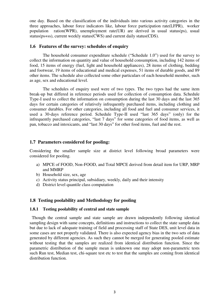one day. Based on the classification of the individuals into various activity categories in the three approaches, labour force indicators like, labour force participation rate(LFPR), worker population ration(WPR), unemployment rate(UR) are derived in usual status(ps), usual status(ps+ss), current weekly status(CWS) and current daily status(CDS).

### **1.6 Features of the survey: schedules of enquiry**

The household consumer expenditure schedule ("Schedule 1.0") used for the survey to collect the information on quantity and value of household consumption, including 142 items of food, 15 items of energy (fuel, light and household appliances), 28 items of clothing, bedding and footwear, 19 items of educational and medical expenses, 51 items of durable goods, and 89 other items. The schedule also collected some other particulars of each household member, such as age, sex and educational level.

The schedules of enquiry used were of two types. The two types had the same item break-up but differed in reference periods used for collection of consumption data. Schedule Type-I used to collect the information on consumption during the last 30 days and the last 365 days for certain categories of relatively infrequently purchased items, including clothing and consumer durables. For other categories, including all food and fuel and consumer services, it used a 30-days reference period. Schedule Type-II used "last 365 days" (only) for the infrequently purchased categories, "last 7 days" for some categories of food items, as well as pan, tobacco and intoxicants, and "last 30 days" for other food items, fuel and the rest.

### **1.7 Parameters considered for pooling:**

Considering the smaller sample size at district level following broad parameters were considered for pooling.

- a) MPCE of FOOD, Non-FOOD, and Total MPCE derived from detail item for URP, MRP and MMRP
- b) Household size, sex, age
- c) Activity status principal, subsidiary, weekly, daily and their intensity
- d) District level quantile class computation

### **1.8 Testing poolability and Methodology for pooling**

### **1.8.1 Testing poolability of central and state sample**

 Though the central sample and state sample are drawn independently following identical sampling design with same concepts, definitions and instructions to collect the state sample data but due to lack of adequate training of field and processing staff of State DES, unit level data in some cases are not properly validated. There is also expected agency bias in the two sets of data generated by different agencies. As such they cannot be merged for generating pooled estimate without testing that the samples are realized from identical distribution function. Since the parametric distribution of the sample mean is unknown one may adopt non-parametric tests such Run test, Median test, chi-square test etc to test that the samples are coming from identical distribution function.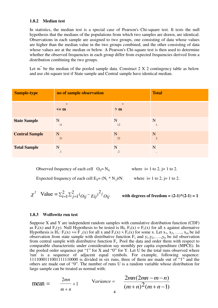### **1.8.2 Median test**

In [statistics,](http://psychology.wikia.com/wiki/Statistics) the median test is a special case of [Pearson's Chi-square test.](http://psychology.wikia.com/wiki/Pearson%27s_chi-square_test) It tests the [null](http://psychology.wikia.com/wiki/Null_hypothesis)  [hypothesis t](http://psychology.wikia.com/wiki/Null_hypothesis)hat the [medians o](http://psychology.wikia.com/wiki/Median)f the [populations f](http://psychology.wikia.com/wiki/Statistical_population)rom which two [samples](http://psychology.wikia.com/wiki/Sampling_(statistics)) are drawn, are identical. Observations in each sample are assigned to two groups, one consisting of data whose values are higher than the median value in the two groups combined, and the other consisting of data whose values are at the median or below. A Pearson's Chi-square test is then used to determine whether the observed frequencies in each group differ from expected frequencies derived from a [distribution c](http://psychology.wikia.com/wiki/Frequency_distribution)ombining the two groups.

Let  $m^*$  be the median of the pooled sample data. Construct 2 X 2 contingency table as below and use chi-square test if State sample and Central sample have identical median.

| <b>Sample-type</b>    | no of sample observation | <b>Total</b>   |              |
|-----------------------|--------------------------|----------------|--------------|
|                       | $\ast$<br>$\leq$ m       | $\star$<br>> m |              |
| <b>State Sample</b>   | $\mathbf N$              | N              | N            |
|                       | 11                       | 12             | 1.           |
| <b>Central Sample</b> | N                        | N              | N            |
|                       | 21                       | 22             | 2.           |
| <b>Total Sample</b>   | N                        | N              | N            |
|                       | $\cdot$                  | $\cdot$        | $\cdot\cdot$ |

Observed frequency of each cell  $O_{ij} = N_{ij}$  where  $i = 1$  to 2,  $j = 1$  to 2.

Expected frequency of each cell  $E_{ii} = (N_i * N_j)/N_i$  where  $i = 1$  to 2,  $j = 1$  to 2.

$$
\chi^2
$$
 Value =  $\sum_{i=1}^{2} \sum_{j=1}^{2} (O_{ij} - E_{ij})^2 / O_{ij}$ 

with degrees of freedom =  $(2-1)*(2-1) = 1$ 

### **1.8.3 [Wolfowitz r](http://psychology.wikia.com/index.php?title=Jacob_Wolfowitz&action=edit&redlink=1)un test**

Suppose X and Y are independent random samples with cumulative distribution function (CDF) as  $F_s(x)$  and  $F_c(y)$ . Null Hypothesis to be tested is  $H_0$ :  $F_s(x) = F_c(x)$  for all x against alternative Hypothesis is  $H_1: F_s(x) \leq F_c(x)$  for all x and  $F_s(x) \leq F_c(x)$  for some x. Let  $x_1, x_2, \ldots, x_m$  be iid observation from state sample with distributive function  $F_s$  and  $y_1, y_2, \ldots, y_n$  be iid observation from central sample with distributive function  $F_c$ . Pool the data and order them with respect to comparable characteristic under consideration say monthly per capita expenditure (MPCE). In the pooled order sequence put "1" for X and "0" for Y. Let U be the total runs observed where 'run' is a sequence of adjacent equal symbols. For example, following sequence: 1111000111001111110000 is divided in six runs, three of them are made out of "1" and the others are made out of "0". The number of runs U is a [random v](http://psychology.wikia.com/index.php?title=Random_var&action=edit&redlink=1)ariable whose distribution for large sample can be treated as normal with:

$$
\text{mean} = \frac{2mn}{m+n} + 1 \qquad \text{Variance} = \frac{2mn(2mn-m-n)}{(m+n)^2(m+n-1)}
$$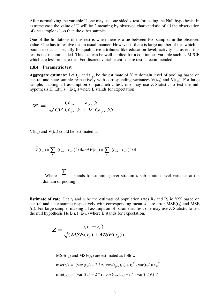After normalizing the variable U one may use one sided z-test for testing the Null hypothesis. In extreme case the value of U will be 2 meaning by observed characteristic of all the observation of one sample is less than the other samples.

One of the limitations of this test is when there is a tie between two samples in the observed value. One has to resolve ties in usual manner. However if there is large number of ties which is bound to occur specially for qualitative attributes like education level, activity status etc, this test is not recommended. This test can be well applied for a continuous variable such as MPCE which are less prone to ties. For discrete variable chi-square test is recommended.

### **1.8.4 Parametric test**

**Aggregate estimate:** Let  $t_{yc}$  and  $t_{ys}$  be the estimate of Y at domain level of pooling based on central and state sample respectively with corresponding variances  $V(t_{yc})$  and  $V(t_{ys})$ . For large sample, making all assumption of parametric test, one may use Z-Statistic to test the null hypothesis  $H_0 E(t_{yc}) = E(t_{vs})$  where E stands for expectation.

$$
Z = \frac{(t_{yc} - t_{ys})}{\sqrt{(V(t_{yc}) + V(t_{ys}))}}
$$

 $V(t_{yc})$  and  $V(t_{ys})$  could be estimated as

$$
\hat{V}(t_{yc}) = \sum_{l} (t_{yc1} - t_{yc2})^2 / 4 and \hat{V}(t_{ys}) = \sum_{l} (t_{ys1} - t_{ys2})^2 / 4
$$

Where  $\frac{Z}{I}$  stands for summing over stratum x sub-stratum level variance at the domain of pooling  $\sum$ *l*

**Estimate of rate:** Let  $r_c$  and  $r_s$  be the estimate of population rates  $R_c$  and  $R_s$  ie Y/X based on central and state sample respectively with corresponding mean square error  $MSE(r_c)$  and  $MSE$ (rs). For large sample, making all assumption of parametric test, one may use Z-Statistic to test the null hypothesis  $H_0 E(r_c)=E(r_s)$  where E stands for expectation.

$$
Z = \frac{(r_c - r_s)}{\sqrt{(MSE(r_c) + MSE(r_s))}}
$$

 $MSE(r_c)$  and  $MSE(r_s)$  are estimated as follows:

$$
mse(r_c) = (var(t_{yc}) - 2 * r_c cov(t_{yc}, t_{xc}) + r_c^2 * var(t_{xc})) / t_{xc}^2
$$
  

$$
mse(r_s) = (var(t_{ys}) - 2 * r_s cov(t_{ys}, t_{xs}) + r_s^2 * var(t_{xs})) / t_{xs}^2
$$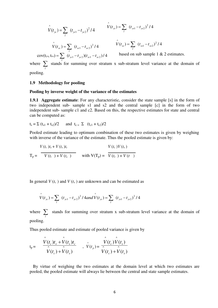$$
\hat{V}(t_{yc}) = \sum_{l} (t_{yc1} - t_{yc2})^2 / 4
$$
\n
$$
\hat{V}(t_{ys}) = \sum_{l} (t_{yc1} - t_{yc2})^2 / 4
$$
\n
$$
\hat{V}(t_{xs}) = \sum_{l} (t_{xc1} - t_{xc2})^2 / 4
$$
\n
$$
\hat{V}(t_{xs}) = \sum_{l} (t_{xs1} - t_{xc2})^2 / 4
$$
\n
$$
\hat{V}(t_{xs}) = \sum_{l} (t_{xs1} - t_{xc2})^2 / 4
$$
\nbased on sub sample 1 & 2 estimates.

where  $\sum_{l}$ stands for summing over stratum x sub-stratum level variance at the domain of

pooling.

### **1.9 Methodology for pooling**

### **Pooling by inverse weight of the variance of the estimates**

**1.9.1 Aggregate estimate**: For any characteristic, consider the state sample [s] in the form of two independent sub- sample s1 and s2 and the central sample [c] in the form of two independent sub- sample c1 and c2. Based on this, the respective estimates for state and central can be computed as:

$$
t_s = \sum (t_{s1} + t_{s2})/2
$$
 and  $t_{c} = \sum (t_{c1} + t_{c2})/2$ 

Pooled estimate leading to optimum combination of these two estimates is given by weighing with inverse of the variance of the estimate. Thus the pooled estimate is given by:

$$
V(t_c) t_s + V(t_s) t_c
$$
  
\n
$$
T_p = \frac{V(t_c) V(t_s)}{V(t_c) + V(t_s)}
$$
 with  $V(T_p) = \frac{V(t_c) V(t_s)}{V(t_c) + V(t_s)}$ 

In general  $V(t_c)$  and  $V(t_s)$  are unknown and can be estimated as

$$
\hat{V}(t_{yc}) = \sum_{l} (t_{yc1} - t_{yc2})^2 / 4 and \hat{V}(t_{ys}) = \sum_{l} (t_{ys1} - t_{ys2})^2 / 4
$$

where  $\sum_{l}$  stands for summing over stratum x sub-stratum level variance at the domain of pooling.

Thus pooled estimate and estimate of pooled variance is given by

$$
t_{p} = \frac{\hat{V}(t_{c})t_{s} + \hat{V}(t_{s})t_{c}}{\hat{V}(t_{c}) + \hat{V}(t_{s})}, \quad \hat{V}(t_{p}) = \frac{\hat{V}(t_{c})\hat{V}(t_{s})}{\hat{V}(t_{c}) + \hat{V}(t_{s})}
$$

 By virtue of weighing the two estimates at the domain level at which two estimates are pooled, the pooled estimate will always lie between the central and state sample estimates.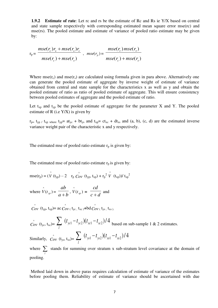**1.9.2** Estimate of rate: Let rc and rs be the estimate of Rc and Rs ie Y/X based on central and state sample respectively with corresponding estimated mean square error mse(rc) and mse(rs). The pooled estimate and estimate of variance of pooled ratio estimate may be given by:

$$
r_p = \frac{mse(r_c)r_s + mse(r_s)r_c}{mse(r_c) + mse(r_s)} , \quad mse(r_p) = \frac{mse(r_c)mse(r_s)}{mse(r_c) + mse(r_s)}
$$

Where  $\text{mse}(r_c)$  and  $\text{mse}(r_s)$  are calculated using formula given in para above. Alternatively one can generate the pooled estimate of aggregate by inverse weight of estimate of variance obtained from central and state sample for the characteristics x as well as y and obtain the pooled estimate of ratio as ratio of pooled estimate of aggregate. This will ensure consistency between pooled estimates of aggregate and the pooled estimate of ratio.

Let  $t_{xp}$  and  $t_{yp}$  be the pooled estimate of aggregate for the parameter X and Y. The pooled estimate of R (i.e  $Y/X$ ) is given by

 $r_{p=}$  t<sub>yp</sub> / t<sub>xp</sub> where t<sub>yp</sub>= at<sub>yc</sub> + bt<sub>ys</sub> and t<sub>xp</sub>= ct<sub>xc</sub> + dt<sub>xs</sub> and (a, b), (c, d) are the estimated inverse variance weight pair of the characteristic x and y respectively.

The estimated mse of pooled ratio estimate  $r_p$  is given by:

The estimated mse of pooled ratio estimate  $r_p$  is given by:

$$
mse(r_p) = (\hat{V}(t_{yp}) - 2 \quad r_p \stackrel{\wedge}{Cov} (t_{yp}, t_{xp}) + r_p^2 \stackrel{\wedge}{V} (t_{xp}) / t_{xp}^2
$$

where  $\hat{V}(t_{yp}) = \frac{ab}{a+b}$ *ab*  $\frac{d\theta}{dt} + b$ ,  $\hat{V}(t_{xp}) = \frac{c\theta}{c + d}$ *cd*  $\overline{+d}$  and

 $\hat{Cov}$  (t<sub>yp</sub>, t<sub>xp</sub>)= ac  $\hat{Cov}$  ( t<sub>yc</sub>, t<sub>xc</sub>)+bd  $\hat{Cov}$  ( t<sub>ys</sub>, t<sub>xs</sub>).

 $\hat{C}_{ov}$  (t<sub>yc</sub>, t<sub>xc</sub>)=  $\sum_{l} (t_{ycl} - t_{yc2}) (t_{xc1} - t_{xc2})/4$  $\sum (t_{\text{ycl}} - t_{\text{ycl}})(t_{\text{xc1}} - t_{\text{xc2}})/4$  based on sub-sample 1 & 2 estimates. Similarly,  $\hat{C}_{ov}$  (t<sub>ys</sub>, t<sub>xs</sub>)=  $\sum_{l} (t_{ys1} - t_{ys2}) (t_{xs1} - t_{xs2})/4$  $\sum_{\text{ys1}} (t_{\text{ys1}} - t_{\text{ys2}})(t_{\text{xs1}} - t)$ where  $\sum$  stands for summing over stratum x sub-stratum level covariance at the domain of *l* pooling.

 Method laid down in above paras requires calculation of estimate of variance of the estimates before pooling them. Reliability of estimate of variance should be ascertained with due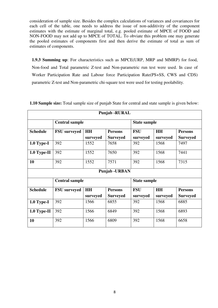consideration of sample size. Besides the complex calculations of variances and covariances for each cell of the table, one needs to address the issue of non-additivity of the component estimates with the estimate of marginal total, e.g. pooled estimate of MPCE of FOOD and NON-FOOD may not add up to MPCE of TOTAL. To obviate this problem one may generate the pooled estimates of components first and then derive the estimate of total as sum of estimates of components.

**1.9.3 Summing up**: For characteristics such as MPCE(URP, MRP and MMRP) for food, Non-food and Total parametric Z-test and Non-parametric run test were used. In case of Worker Participation Rate and Labour force Participation Rate(PS+SS, CWS and CDS) parametric Z-test and Non-parametric chi-square test were used for testing poolability.

| <b>Punjab - RURAL</b> |                       |                       |                                   |                        |                       |                                   |  |  |
|-----------------------|-----------------------|-----------------------|-----------------------------------|------------------------|-----------------------|-----------------------------------|--|--|
|                       | <b>Central sample</b> |                       | <b>State sample</b>               |                        |                       |                                   |  |  |
| <b>Schedule</b>       | <b>FSU</b> surveyed   | <b>HH</b><br>surveyed | <b>Persons</b><br><b>Surveyed</b> | <b>FSU</b><br>surveyed | <b>HH</b><br>surveyed | <b>Persons</b><br><b>Surveyed</b> |  |  |
| $1.0$ Type-I          | 392                   | 1552                  | 7658                              | 392                    | 1568                  | 7497                              |  |  |
| $1.0$ Type-II         | 392                   | 1552                  | 7650                              | 392                    | 1568                  | 7441                              |  |  |
| 10                    | 392                   | 1552                  | 7571                              | 392                    | 1568                  | 7315                              |  |  |
|                       |                       |                       | <b>Punjab - URBAN</b>             |                        |                       |                                   |  |  |
|                       | <b>Central sample</b> |                       |                                   | <b>State sample</b>    |                       |                                   |  |  |
| <b>Schedule</b>       | <b>FSU</b> surveyed   | <b>HH</b>             | <b>Persons</b>                    | <b>FSU</b>             | <b>HH</b>             | <b>Persons</b>                    |  |  |
|                       |                       | surveyed              | <b>Surveyed</b>                   | surveyed               | surveyed              | <b>Surveyed</b>                   |  |  |
| $1.0$ Type-I          | 392                   | 1566                  | 6855                              | 392                    | 1568                  | 6885                              |  |  |
| $1.0$ Type-II         | 392                   | 1566                  | 6849                              | 392                    | 1568                  | 6893                              |  |  |
| 10                    | 392                   | 1566                  | 6809                              | 392                    | 1568                  | 6658                              |  |  |

**1.10 Sample size:** Total sample size of punjab State for central and state sample is given below: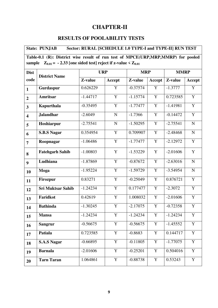# **CHAPTER-II**

# **RESULTS OF POOLABILITY TESTS**

| Sector: RURAL [SCHEDULE 1.0 TYPE-I and TYPE-II] RUN TEST<br><b>State: PUNJAB</b>                                                                               |                          |            |             |            |                |            |                |  |  |  |
|----------------------------------------------------------------------------------------------------------------------------------------------------------------|--------------------------|------------|-------------|------------|----------------|------------|----------------|--|--|--|
| Table-0.1 (R): District wise result of run test of MPCE(URP,MRP,MMRP) for pooled<br>sample $Z_{0.01}$ = - 2.33 [one sided test] reject if z-value < $Z_{0.01}$ |                          |            |             |            |                |            |                |  |  |  |
| <b>Dist</b>                                                                                                                                                    |                          | <b>URP</b> |             |            | <b>MRP</b>     |            | <b>MMRP</b>    |  |  |  |
| code                                                                                                                                                           | <b>District Name</b>     | Z-value    | Accept      | Z-value    | Accept         | Z-value    | <b>Accept</b>  |  |  |  |
| $\mathbf{1}$                                                                                                                                                   | Gurdaspur                | 0.626229   | Y           | $-0.37574$ | $\mathbf Y$    | $-1.3777$  | $\mathbf Y$    |  |  |  |
| $\overline{2}$                                                                                                                                                 | <b>Amritsar</b>          | $-1.44717$ | Y           | $-1.15774$ | $\mathbf Y$    | 0.723585   | $\mathbf Y$    |  |  |  |
| $\overline{\mathbf{3}}$                                                                                                                                        | Kapurthala               | $-0.35495$ | $\mathbf Y$ | $-1.77477$ | $\mathbf Y$    | $-1.41981$ | $\mathbf Y$    |  |  |  |
| $\overline{\mathbf{4}}$                                                                                                                                        | <b>Jalandhar</b>         | $-2.6049$  | $\mathbf N$ | $-1.7366$  | $\overline{Y}$ | $-0.14472$ | $\overline{Y}$ |  |  |  |
| 5                                                                                                                                                              | Hoshiarpur               | $-2.75541$ | $\mathbf N$ | $-1.50295$ | $\mathbf Y$    | $-2.75541$ | ${\bf N}$      |  |  |  |
| 6                                                                                                                                                              | <b>S.B.S Nagar</b>       | 0.354954   | $\mathbf Y$ | 0.709907   | $\mathbf Y$    | $-2.48468$ | $\mathbf N$    |  |  |  |
| $\overline{7}$                                                                                                                                                 | Roopnagar                | $-1.06486$ | Y           | $-1.77477$ | Y              | $-2.12972$ | Y              |  |  |  |
| 8                                                                                                                                                              | <b>Fatehgarh Sahib</b>   | $-1.00803$ | Y           | $-1.53229$ | Y              | $-2.01606$ | Y              |  |  |  |
| 9                                                                                                                                                              | Ludhiana                 | $-1.87869$ | $\mathbf Y$ | $-0.87672$ | $\mathbf Y$    | $-2.63016$ | $\mathbf N$    |  |  |  |
| 10                                                                                                                                                             | Moga                     | $-1.95224$ | $\mathbf Y$ | $-1.59729$ | $\mathbf Y$    | $-3.54954$ | ${\bf N}$      |  |  |  |
| 11                                                                                                                                                             | <b>Firozpur</b>          | 0.83271    | Y           | $-0.25049$ | $\mathbf Y$    | 0.876721   | $\mathbf Y$    |  |  |  |
| 12                                                                                                                                                             | <b>Sri Muktsar Sahib</b> | $-1.24234$ | $\mathbf Y$ | 0.177477   | $\mathbf Y$    | $-2.3072$  | $\overline{Y}$ |  |  |  |
| 13                                                                                                                                                             | Faridkot                 | 0.42619    | $\mathbf Y$ | 1.008032   | $\mathbf Y$    | $-2.01606$ | $\overline{Y}$ |  |  |  |
| 14                                                                                                                                                             | <b>Bathinda</b>          | $-1.30245$ | $\mathbf Y$ | $-2.17075$ | $\mathbf Y$    | $-0.72358$ | $\mathbf Y$    |  |  |  |
| 15                                                                                                                                                             | <b>Mansa</b>             | $-1.24234$ | $\mathbf Y$ | $-1.24234$ | Y              | $-1.24234$ | $\mathbf Y$    |  |  |  |
| 16                                                                                                                                                             | <b>Sangrur</b>           | $-0.56675$ | Y           | $-0.56675$ | $\mathbf Y$    | $-1.45552$ | $\mathbf Y$    |  |  |  |
| 17                                                                                                                                                             | Patiala                  | 0.723585   | $\mathbf Y$ | $-0.8683$  | $\mathbf Y$    | 0.144717   | $\mathbf Y$    |  |  |  |
| 18                                                                                                                                                             | <b>S.A.S Nagar</b>       | $-0.66895$ | $\mathbf Y$ | $-0.11805$ | $\mathbf Y$    | $-1.77075$ | $\mathbf Y$    |  |  |  |
| 19                                                                                                                                                             | <b>Barnala</b>           | $-2.01606$ | $\mathbf Y$ | $-0.25201$ | $\mathbf Y$    | 0.504016   | $\mathbf Y$    |  |  |  |
| 20                                                                                                                                                             | <b>Tarn Taran</b>        | 1.064861   | Y           | $-0.88738$ | Y              | 0.53243    | Y              |  |  |  |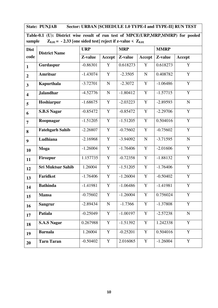**State: PUNJAB Sector: URBAN [SCHEDULE 1.0 TYPE-I and TYPE-II] RUN TEST** 

|        | Table-0.1 (U): District wise result of run test of MPCE(URP,MRP,MMRP) for pooled |
|--------|----------------------------------------------------------------------------------|
| sample | $Z_{0.01}$ = - 2.33 [one sided test] reject if z-value < $Z_{0.01}$              |

| <b>Dist</b>             | <b>District Name</b>     | <b>URP</b> |                | <b>MRP</b> |             | <b>MMRP</b> |               |
|-------------------------|--------------------------|------------|----------------|------------|-------------|-------------|---------------|
| code                    |                          | Z-value    | Accept         | Z-value    | Accept      | Z-value     | <b>Accept</b> |
| $\mathbf{1}$            | Gurdaspur                | $-0.86301$ | Y              | 0.618273   | Y           | 0.618273    | Y             |
| $\overline{2}$          | <b>Amritsar</b>          | $-1.43074$ | $\mathbf Y$    | $-2.3505$  | $\mathbf N$ | 0.408782    | $\mathbf Y$   |
| $\overline{\mathbf{3}}$ | Kapurthala               | $-3.72701$ | $\overline{N}$ | $-2.3072$  | $\mathbf Y$ | $-1.06486$  | $\mathbf Y$   |
| $\overline{\mathbf{4}}$ | <b>Jalandhar</b>         | $-4.52776$ | ${\bf N}$      | $-1.80412$ | Y           | $-1.57715$  | $\mathbf Y$   |
| 5                       | Hoshiarpur               | $-1.68675$ | $\mathbf Y$    | $-2.03223$ | $\mathbf Y$ | $-2.89593$  | ${\bf N}$     |
| 6                       | <b>S.B.S Nagar</b>       | $-0.85472$ | $\mathbf Y$    | $-0.85472$ | $\mathbf Y$ | $-2.29706$  | Y             |
| $\overline{7}$          | Roopnagar                | $-1.51205$ | $\mathbf Y$    | $-1.51205$ | $\mathbf Y$ | 0.504016    | $\mathbf Y$   |
| 8                       | <b>Fatehgarh Sahib</b>   | $-2.26807$ | $\mathbf Y$    | $-0.75602$ | $\mathbf Y$ | $-0.75602$  | $\mathbf Y$   |
| 9                       | Ludhiana                 | $-2.16968$ | Y              | $-3.94092$ | ${\bf N}$   | $-3.71595$  | ${\bf N}$     |
| 10                      | <b>Moga</b>              | $-1.26004$ | $\mathbf Y$    | $-1.76406$ | Y           | $-2.01606$  | $\mathbf Y$   |
| 11                      | Firozpur                 | 1.157735   | Y              | $-0.72358$ | $\mathbf Y$ | $-1.88132$  | $\mathbf Y$   |
| 12                      | <b>Sri Muktsar Sahib</b> | 1.26004    | Y              | $-1.51205$ | $\mathbf Y$ | $-1.76406$  | $\mathbf Y$   |
| 13                      | Faridkot                 | $-1.76406$ | $\mathbf Y$    | $-1.26004$ | $\mathbf Y$ | $-0.50402$  | $\mathbf Y$   |
| 14                      | <b>Bathinda</b>          | $-1.41981$ | Y              | $-1.06486$ | $\mathbf Y$ | $-1.41981$  | $\mathbf Y$   |
| 15                      | <b>Mansa</b>             | $-0.75602$ | $\mathbf Y$    | $-1.26004$ | $\mathbf Y$ | 0.756024    | $\mathbf Y$   |
| 16                      | <b>Sangrur</b>           | $-2.89434$ | $\overline{N}$ | $-1.7366$  | $\mathbf Y$ | $-1.37808$  | $\mathbf Y$   |
| 17                      | Patiala                  | $-0.25049$ | Y              | $-1.00197$ | $\mathbf Y$ | $-2.57238$  | ${\bf N}$     |
| 18                      | <b>S.A.S Nagar</b>       | 0.267988   | $\mathbf Y$    | $-1.51392$ | $\mathbf Y$ | 1.242338    | Y             |
| 19                      | <b>Barnala</b>           | 1.26004    | Y              | $-0.25201$ | Y           | 0.504016    | $\mathbf Y$   |
| 20                      | <b>Tarn Taran</b>        | $-0.50402$ | $\mathbf Y$    | 2.016065   | $\mathbf Y$ | $-1.26004$  | $\mathbf Y$   |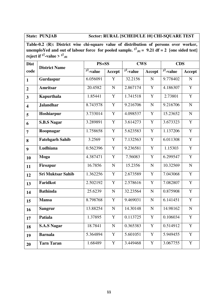# **State: PUNJAB Sector: RURAL [SCHEDULE 10] CHI-SQUARE TEST**

**Table-0.2 (R): District wise chi-square value of distribution of persons over worker, unemploYed and out of labour force for pooled sample.**  $^{\chi^2}$   $_{.01}$  = 9.21 df = 2 [one sided test] **reject if**  $^{\chi^2}$ -value >  $^{\chi^2}$ <sub>.01</sub>

| <b>Dist</b>             | <b>District Name</b>     | PS+SS           |                | <b>CWS</b>              |                | <b>CDS</b>              |                         |
|-------------------------|--------------------------|-----------------|----------------|-------------------------|----------------|-------------------------|-------------------------|
| code                    |                          | $\chi^2$ -value | <b>Accept</b>  | $\overline{x^2}$ -value | Accept         | $\overline{x^2}$ -value | Accept                  |
| $\mathbf{1}$            | Gurdaspur                | 6.056091        | Y              | 32.2156                 | $\mathbf N$    | 9.778402                | ${\bf N}$               |
| $\overline{2}$          | <b>Amritsar</b>          | 20.4582         | ${\bf N}$      | 2.867174                | Y              | 4.186307                | Y                       |
| $\overline{3}$          | Kapurthala               | 1.85441         | $\overline{Y}$ | 1.741518                | $\overline{Y}$ | 2.73801                 | $\overline{Y}$          |
| $\overline{\mathbf{4}}$ | <b>Jalandhar</b>         | 8.743578        | $\mathbf Y$    | 9.216706                | ${\bf N}$      | 9.216706                | $\mathbf N$             |
| 5                       | Hoshiarpur               | 3.733014        | $\mathbf Y$    | 4.098537                | Y              | 15.23652                | ${\bf N}$               |
| 6                       | <b>S.B.S Nagar</b>       | 3.289891        | $\overline{Y}$ | 3.614273                | $\overline{Y}$ | 3.673323                | $\overline{Y}$          |
| $\overline{7}$          | Roopnagar                | 1.758658        | $\overline{Y}$ | 5.623583                | $\overline{Y}$ | 1.137206                | $\overline{Y}$          |
| 8                       | <b>Fatehgarh Sahib</b>   | 3.2569          | $\mathbf Y$    | 7.132563                | $\overline{Y}$ | 6.011308                | $\overline{Y}$          |
| $\boldsymbol{9}$        | Ludhiana                 | 0.562396        | Y              | 9.236581                | $\overline{Y}$ | 1.15303                 | $\overline{Y}$          |
| 10                      | Moga                     | 4.387471        | $\mathbf Y$    | 7.56083                 | $\mathbf Y$    | 6.299547                | $\mathbf Y$             |
| 11                      | <b>Firozpur</b>          | 16.7856         | ${\bf N}$      | 15.2356                 | ${\bf N}$      | 10.32569                | $\overline{N}$          |
| 12                      | <b>Sri Muktsar Sahib</b> | 1.362256        | $\mathbf Y$    | 2.673589                | $\mathbf Y$    | 7.043068                | Y                       |
| 13                      | Faridkot                 | 2.502192        | Y              | 2.578616                | Y              | 7.082807                | $\overline{Y}$          |
| 14                      | <b>Bathinda</b>          | 25.6239         | ${\bf N}$      | 32.23564                | $\mathbf N$    | 0.875908                | $\overline{Y}$          |
| 15                      | <b>Mansa</b>             | 8.798768        | Y              | 9.469031                | ${\bf N}$      | 6.141451                | Y                       |
| 16                      | <b>Sangrur</b>           | 13.88254        | ${\bf N}$      | 14.30148                | $\mathbf N$    | 14.98162                | $\overline{\mathsf{N}}$ |
| 17                      | <b>Patiala</b>           | 1.37895         | $\mathbf Y$    | 0.113725                | $\mathbf Y$    | 0.106034                | $\mathbf Y$             |
| 18                      | <b>S.A.S Nagar</b>       | 18.7841         | ${\bf N}$      | 0.365383                | $\mathbf Y$    | 0.514912                | Y                       |
| 19                      | <b>Barnala</b>           | 5.364894        | $\mathbf Y$    | 5.601051                | Y              | 5.949455                | Y                       |
| 20                      | <b>Tarn Taran</b>        | 1.68489         | Y              | 3.449468                | $\mathbf Y$    | 3.067755                | $\overline{Y}$          |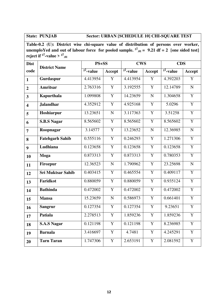# **State: PUNJAB Sector: URBAN [SCHEDULE 10] CHI-SQUARE TEST**

**Table-0.2 (U): District wise chi-square value of distribution of persons over worker, unemploYed and out of labour force for pooled sample.**  $x^2_{01} = 9.21$  df = 2 [one sided test] **reject if**  $^{\chi^2}$ -value >  $^{\chi^2}$ <sub>.01</sub>

| <b>Dist</b>             | <b>District Name</b>     | $PS + SS$              |                         | <b>CWS</b>             |                | <b>CDS</b>             |                |
|-------------------------|--------------------------|------------------------|-------------------------|------------------------|----------------|------------------------|----------------|
| code                    |                          | $\sqrt{\chi^2}$ -value | Accept                  | $\sqrt{\chi^2}$ -value | Accept         | $\sqrt{\chi^2}$ -value | Accept         |
| $\mathbf{1}$            | Gurdaspur                | 4.413954               | $\overline{\mathbf{Y}}$ | 4.413954               | $\overline{Y}$ | 4.392203               | $\overline{Y}$ |
| $\overline{2}$          | <b>Amritsar</b>          | 2.763316               | Y                       | 3.192555               | $\mathbf Y$    | 12.14789               | ${\bf N}$      |
| $\overline{3}$          | Kapurthala               | 1.099808               | Y                       | 14.23659               | ${\bf N}$      | 1.304658               | $\overline{Y}$ |
| $\overline{\mathbf{4}}$ | <b>Jalandhar</b>         | 4.352912               | $\mathbf Y$             | 4.925168               | $\mathbf Y$    | 5.0296                 | $\mathbf Y$    |
| 5                       | Hoshiarpur               | 13.23651               | ${\bf N}$               | 3.117363               | $\mathbf Y$    | 3.51258                | Y              |
| 6                       | <b>S.B.S Nagar</b>       | 8.565602               | $\overline{Y}$          | 8.565602               | $\mathbf Y$    | 8.565602               | $\overline{Y}$ |
| $\overline{7}$          | Roopnagar                | 3.14577                | $\overline{Y}$          | 13.23652               | $\mathbf N$    | 12.36985               | ${\bf N}$      |
| 8                       | <b>Fatehgarh Sahib</b>   | 0.555116               | $\overline{Y}$          | 0.246293               | Y              | 1.271306               | $\overline{Y}$ |
| 9                       | Ludhiana                 | 0.123658               | Y                       | 0.123658               | $\mathbf Y$    | 0.123658               | $\overline{Y}$ |
| 10                      | Moga                     | 0.873313               | Y                       | 0.873313               | Y              | 0.780353               | $\overline{Y}$ |
| 11                      | <b>Firozpur</b>          | 12.36523               | ${\bf N}$               | 1.790962               | $\mathbf Y$    | 23.25698               | $\mathbf N$    |
| 12                      | <b>Sri Muktsar Sahib</b> | 0.403415               | Y                       | 0.465554               | Y              | 0.409117               | $\mathbf Y$    |
| 13                      | <b>Faridkot</b>          | 0.880059               | $\overline{Y}$          | 0.880059               | $\overline{Y}$ | 0.935124               | $\overline{Y}$ |
| 14                      | <b>Bathinda</b>          | 0.472002               | $\mathbf Y$             | 0.472002               | $\mathbf Y$    | 0.472002               | $\mathbf Y$    |
| 15                      | <b>Mansa</b>             | 15.23659               | $\mathbf N$             | 0.586973               | Y              | 0.661401               | $\overline{Y}$ |
| 16                      | <b>Sangrur</b>           | 0.127354               | Y                       | 0.127354               | Y              | 9.23651                | $\overline{Y}$ |
| 17                      | <b>Patiala</b>           | 2.278513               | $\mathbf Y$             | 1.859236               | $\mathbf Y$    | 1.859236               | $\mathbf Y$    |
| 18                      | <b>S.A.S Nagar</b>       | 0.121198               | $\overline{Y}$          | 0.121198               | $\mathbf Y$    | 8.236985               | $\overline{Y}$ |
| 19                      | <b>Barnala</b>           | 3.416697               | Y                       | 4.7481                 | Y              | 4.245291               | Y              |
| 20                      | <b>Tarn Taran</b>        | 1.747306               | $\overline{Y}$          | 2.653191               | Y              | 2.081592               | $\overline{Y}$ |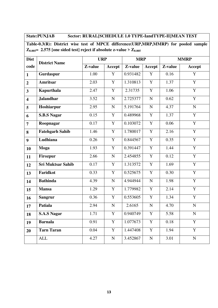# **State:PUNJAB Sector: RURAL[SCHEDULE 1.0 TYPE-IandTYPE-II]MEAN TEST**

**Table-0.3(R): District wise test of MPCE difference(URP,MRP,MMRP) for pooled sample**   $\mathbb{Z}_{0.005}$  = 2.575 [one sided test] reject if absolute z-value >  $\mathbb{Z}_{0.005}$ 

| <b>Dist</b>             | <b>District Name</b>   | <b>URP</b> |                       | <b>MRP</b>            |                | <b>MMRP</b> |                |
|-------------------------|------------------------|------------|-----------------------|-----------------------|----------------|-------------|----------------|
| code                    |                        | Z-value    | Accept                | Z-value               | <b>Accept</b>  | Z-value     | Accept         |
| $\mathbf{1}$            | Gurdaspur              | 1.00       | $\mathbf Y$           | 0.931482              | Y              | 0.16        | Y              |
| $\overline{2}$          | <b>Amritsar</b>        | 2.03       | $\mathbf Y$           | 1.310813              | $\overline{Y}$ | 1.37        | $\overline{Y}$ |
| $\overline{\mathbf{3}}$ | Kapurthala             | 2.47       | $\mathbf Y$           | 2.31735               | $\mathbf Y$    | 1.06        | $\overline{Y}$ |
| $\overline{\mathbf{4}}$ | <b>Jalandhar</b>       | 3.52       | ${\bf N}$             | 2.725377              | ${\bf N}$      | 0.62        | $\overline{Y}$ |
| 5                       | Hoshiarpur             | 2.95       | ${\bf N}$             | 5.191764              | ${\bf N}$      | 4.37        | $\overline{N}$ |
| 6                       | <b>S.B.S Nagar</b>     | 0.15       | $\overline{Y}$        | 0.489968              | $\overline{Y}$ | 1.37        | $\overline{Y}$ |
| $\overline{7}$          | Roopnagar              | 0.17       | $\overline{Y}$        | 0.103072              | $\overline{Y}$ | 0.06        | $\overline{Y}$ |
| 8                       | <b>Fatehgarh Sahib</b> | 1.46       | $\mathbf Y$           | 1.780017              | $\overline{Y}$ | 2.16        | $\overline{Y}$ |
| $\overline{9}$          | Ludhiana               | 0.26       | $\overline{Y}$        | 0.844567              | $\overline{Y}$ | 0.35        | $\overline{Y}$ |
| 10                      | Moga                   | 1.93       | $\mathbf Y$           | 0.391447              | $\overline{Y}$ | 1.44        | $\overline{Y}$ |
| 11                      | <b>Firozpur</b>        | 2.66       | ${\bf N}$             | 2.454855              | $\overline{Y}$ | 0.12        | $\overline{Y}$ |
| 12                      | Sri Muktsar Sahib      | 0.17       | $\mathbf Y$           | 1.313572              | Y              | 1.69        | $\overline{Y}$ |
| 13                      | Faridkot               | 0.33       | $\mathbf Y$           | 0.525675              | Y              | 0.30        | $\overline{Y}$ |
| 14                      | <b>Bathinda</b>        | 4.39       | ${\bf N}$             | 4.944944              | ${\bf N}$      | 1.98        | $\overline{Y}$ |
| 15                      | <b>Mansa</b>           | 1.29       | $\mathbf Y$           | 1.779982              | Y              | 2.14        | $\overline{Y}$ |
| 16                      | <b>Sangrur</b>         | 0.36       | $\overline{Y}$        | 0.553605              | $\overline{Y}$ | 1.34        | $\overline{Y}$ |
| 17                      | Patiala                | 2.94       | $\overline{\text{N}}$ | 2.6165                | $\overline{N}$ | 4.70        | $\overline{N}$ |
| 18                      | <b>S.A.S Nagar</b>     | 1.71       | $\mathbf Y$           | 0.940749              | $\mathbf Y$    | 5.58        | ${\bf N}$      |
| 19                      | <b>Barnala</b>         | 0.91       | $\mathbf Y$           | 1.077673              | Y              | 0.18        | $\overline{Y}$ |
| 20                      | <b>Tarn Taran</b>      | 0.04       | $\mathbf Y$           | $\overline{1.447408}$ | Y              | 1.94        | Y              |
|                         | <b>ALL</b>             | 4.27       | ${\bf N}$             | 3.452867              | ${\bf N}$      | 3.01        | ${\bf N}$      |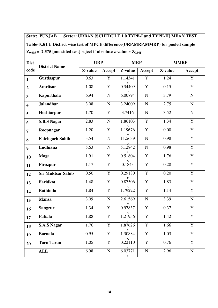**State: PUNJAB Sector: URBAN [SCHEDULE 1.0 TYPE-I and TYPE-II] MEAN TEST Table-0.3(U): District wise test of MPCE difference(URP,MRP,MMRP) for pooled sample**   $Z_{0.005}$  = 2.575 [one sided test] reject if absolute z-value >  $Z_{0.005}$ 

| <b>Dist</b>             | <b>District Name</b>     | <b>URP</b> |                | <b>MRP</b>                          |                |          | <b>MMRP</b>    |
|-------------------------|--------------------------|------------|----------------|-------------------------------------|----------------|----------|----------------|
| code                    |                          | Z-value    | Accept         | Z-value                             | Accept         | Z-value  | Accept         |
| $\mathbf{1}$            | Gurdaspur                | 0.63       | $\mathbf Y$    | 1.14341                             | $\mathbf Y$    | 1.24     | Y              |
| $\overline{2}$          | Amritsar                 | 1.08       | $\mathbf Y$    | $\frac{2}{0.34409}$                 | $\mathbf Y$    | 0.15     | $\overline{Y}$ |
| $\overline{\mathbf{3}}$ | Kapurthala               | 6.94       | $\mathbf N$    | $\frac{2}{6.00794}$                 | $\mathbf N$    | 3.79     | ${\bf N}$      |
| $\overline{\mathbf{4}}$ | <b>Jalandhar</b>         | 3.08       | ${\bf N}$      | 3.24009                             | ${\bf N}$      | 2.75     | ${\bf N}$      |
| 5                       | Hoshiarpur               | 1.70       | $\mathbf Y$    | 3.7416                              | $\mathbf N$    | 3.52     | ${\bf N}$      |
| 6                       | <b>S.B.S Nagar</b>       | 2.83       | $\mathbf N$    | 1.86103                             | $\mathbf Y$    | 1.34     | $\mathbf Y$    |
| $\overline{7}$          | Roopnagar                | 1.20       | $\mathbf Y$    | $\frac{2}{1.19676}$                 | $\mathbf Y$    | $0.00\,$ | Y              |
| 8                       | <b>Fatehgarh Sahib</b>   | 3.54       | $\mathbf N$    | $\frac{7}{11.5639}$                 | ${\bf N}$      | 0.98     | $\mathbf Y$    |
| 9                       | Ludhiana                 | 5.63       | $\mathbf N$    | $\frac{8}{5.12842}$                 | ${\bf N}$      | 0.98     | $\overline{Y}$ |
| 10                      | Moga                     | 1.91       | $\overline{Y}$ | 0.51804                             | $\overline{Y}$ | 1.76     | $\overline{Y}$ |
| 11                      | <b>Firozpur</b>          | 1.17       | $\overline{Y}$ | $rac{6}{0.1843}$                    | $\overline{Y}$ | 0.28     | $\overline{Y}$ |
| 12                      | <b>Sri Muktsar Sahib</b> | 0.50       | $\mathbf Y$    | 0.29180                             | Y              | 0.20     | Y              |
| 13                      | Faridkot                 | 1.48       | $\mathbf Y$    | $\frac{5}{0.87506}$                 | $\overline{Y}$ | 1.83     | $\overline{Y}$ |
| 14                      | <b>Bathinda</b>          | 1.84       | $\mathbf Y$    | $\frac{5}{1.79222}$                 | Y              | 1.14     | Y              |
| 15                      | <b>Mansa</b>             | 3.09       | ${\bf N}$      | $\frac{5}{2.61569}$                 | $\overline{N}$ | 3.39     | ${\bf N}$      |
| 16                      | <b>Sangrur</b>           | 1.34       | $\mathbf Y$    | $\frac{7}{0.97837}$                 | Y              | 0.37     | Y              |
| 17                      | Patiala                  | 1.88       | Y              | $\frac{5}{1.21956}$                 | Y              | 1.42     | Y              |
| 18                      | <b>S.A.S Nagar</b>       | 1.76       | $\mathbf Y$    | $\overline{\phantom{a}}$<br>1.87626 | $\mathbf Y$    | 1.66     | Y              |
| 19                      | <b>Barnala</b>           | 0.95       | $\overline{Y}$ | 1.30884                             | Y              | 1.03     | $\overline{Y}$ |
| 20                      | <b>Tarn Taran</b>        | 1.05       | $\mathbf Y$    | $\frac{6}{0.22110}$                 | $\mathbf Y$    | 0.76     | Y              |
|                         | <b>ALL</b>               | 6.98       | ${\bf N}$      | $rac{5}{6.03771}$<br>$\perp$        | ${\bf N}$      | 2.96     | ${\bf N}$      |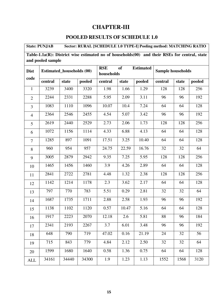# **CHAPTER-III**

# **POOLED RESULTS OF SCHEDULE 1.0**

**State: PUNJAB Sector: RURAL [SCHEDULE 1.0 TYPE-I] Pooling method: MATCHING RATIO**

**Table-1.1a(R): District wise estimated no of households(00) and their RSEs for central, state and pooled sample** 

| <b>Dist</b>    | <b>Estimated_households (00)</b> |       |        | <b>RSE</b> | <b>of</b> | <b>Estimated</b> |         | <b>Sample households</b> |        |  |
|----------------|----------------------------------|-------|--------|------------|-----------|------------------|---------|--------------------------|--------|--|
| code           |                                  |       |        | households |           |                  |         |                          |        |  |
|                | central                          | state | pooled | central    | state     | pooled           | central | state                    | pooled |  |
| $\mathbf{1}$   | 3239                             | 3400  | 3320   | 1.98       | 1.66      | 1.29             | 128     | 128                      | 256    |  |
| $\overline{2}$ | 2244                             | 2331  | 2288   | 5.95       | 2.09      | 3.11             | 96      | 96                       | 192    |  |
| $\overline{3}$ | 1083                             | 1110  | 1096   | 10.07      | 10.4      | 7.24             | 64      | 64                       | 128    |  |
| $\overline{4}$ | 2364                             | 2546  | 2455   | 4.54       | 5.07      | 3.42             | 96      | 96                       | 192    |  |
| 5              | 2619                             | 2440  | 2529   | 2.73       | 2.06      | 1.73             | 128     | 128                      | 256    |  |
| 6              | 1072                             | 1156  | 1114   | 4.33       | 6.88      | 4.13             | 64      | 64                       | 128    |  |
| $\overline{7}$ | 1285                             | 897   | 1091   | 17.51      | 3.25      | 10.40            | 64      | 64                       | 128    |  |
| 8              | 960                              | 954   | 957    | 24.75      | 22.59     | 16.76            | 32      | 32                       | 64     |  |
| 9              | 3005                             | 2879  | 2942   | 9.35       | 7.25      | 5.95             | 128     | 128                      | 256    |  |
| 10             | 1465                             | 1456  | 1460   | 3.9        | 4.26      | 2.89             | 64      | 64                       | 128    |  |
| 11             | 2841                             | 2722  | 2781   | 4.48       | 1.32      | 2.38             | 128     | 128                      | 256    |  |
| 12             | 1142                             | 1214  | 1178   | 2.3        | 3.62      | 2.17             | 64      | 64                       | 128    |  |
| 13             | 797                              | 770   | 783    | 5.51       | 0.29      | 2.81             | 32      | 32                       | 64     |  |
| 14             | 1687                             | 1735  | 1711   | 2.88       | 2.58      | 1.93             | 96      | 96                       | 192    |  |
| 15             | 1138                             | 1102  | 1120   | 0.57       | 10.47     | 5.16             | 64      | 64                       | 128    |  |
| 16             | 1917                             | 2223  | 2070   | 12.18      | 2.6       | 5.81             | 88      | 96                       | 184    |  |
| 17             | 2341                             | 2193  | 2267   | 3.7        | 6.01      | 3.48             | 96      | 96                       | 192    |  |
| 18             | 648                              | 790   | 719    | 47.02      | 0.16      | 21.19            | 24      | 32                       | 56     |  |
| 19             | 715                              | 843   | 779    | 4.84       | 2.12      | 2.50             | 32      | 32                       | 64     |  |
| 20             | 1599                             | 1680  | 1640   | 0.58       | 1.36      | 0.75             | 64      | 64                       | 128    |  |
| <b>ALL</b>     | 34161                            | 34440 | 34300  | 1.9        | 1.23      | 1.13             | 1552    | 1568                     | 3120   |  |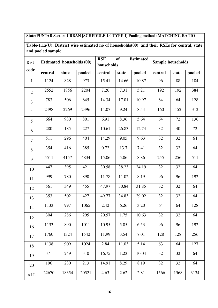# **State:PUNJAB Sector: URBAN [SCHEDULE 1.0 TYPE-I] Pooling method: MATCHING RATIO**

**Table-1.1a(U): District wise estimated no of households(00) and their RSEs for central, state and pooled sample** 

| <b>Dist</b>    | <b>Estimated_households (00)</b> |       |        | <b>RSE</b><br>households | <b>of</b> | <b>Estimated</b> |         | <b>Sample households</b> |        |  |
|----------------|----------------------------------|-------|--------|--------------------------|-----------|------------------|---------|--------------------------|--------|--|
| code           | central                          | state | pooled | central                  | state     | pooled           | central | state                    | pooled |  |
| $\mathbf{1}$   | 1124                             | 828   | 973    | 15.41                    | 14.66     | 10.87            | 96      | 88                       | 184    |  |
| $\overline{2}$ | 2552                             | 1856  | 2204   | 7.26                     | 7.31      | 5.21             | 192     | 192                      | 384    |  |
| 3              | 783                              | 506   | 645    | 14.34                    | 17.01     | 10.97            | 64      | 64                       | 128    |  |
| $\overline{4}$ | 2498                             | 2269  | 2396   | 14.07                    | 9.24      | 8.54             | 160     | 152                      | 312    |  |
| 5              | 664                              | 930   | 801    | 6.91                     | 8.36      | 5.64             | 64      | 72                       | 136    |  |
| 6              | 280                              | 185   | 227    | 10.61                    | 26.83     | 12.74            | 32      | 40                       | 72     |  |
| $\overline{7}$ | 511                              | 296   | 404    | 14.29                    | 9.05      | 9.63             | 32      | 32                       | 64     |  |
| 8              | 354                              | 416   | 385    | 0.72                     | 13.7      | 7.41             | 32      | 32                       | 64     |  |
| 9              | 5511                             | 4157  | 4834   | 15.06                    | 5.06      | 8.86             | 255     | 256                      | 511    |  |
| 10             | 447                              | 395   | 421    | 30.58                    | 38.23     | 24.19            | 32      | 32                       | 64     |  |
| 11             | 999                              | 780   | 890    | 11.78                    | 11.02     | 8.19             | 96      | 96                       | 192    |  |
| 12             | 561                              | 349   | 455    | 47.97                    | 30.84     | 31.85            | 32      | 32                       | 64     |  |
| 13             | 353                              | 502   | 427    | 49.77                    | 34.83     | 29.02            | 32      | 32                       | 64     |  |
| 14             | 1133                             | 997   | 1065   | 2.42                     | 6.26      | 3.20             | 64      | 64                       | 128    |  |
| 15             | 304                              | 286   | 295    | 20.57                    | 1.75      | 10.63            | 32      | $32\,$                   | 64     |  |
| 16             | 1133                             | 890   | 1011   | 10.95                    | 5.05      | 6.53             | 96      | 96                       | 192    |  |
| 17             | 1760                             | 1324  | 1542   | 11.99                    | 3.54      | 7.01             | 128     | 128                      | 256    |  |
| 18             | 1138                             | 909   | 1024   | 2.84                     | 11.03     | 5.14             | 63      | 64                       | 127    |  |
| 19             | 371                              | 249   | 310    | 16.75                    | 1.23      | 10.04            | 32      | 32                       | 64     |  |
| 20             | 196                              | 230   | 213    | 14.91                    | 8.29      | 8.19             | 32      | 32                       | 64     |  |
| <b>ALL</b>     | 22670                            | 18354 | 20521  | 4.63                     | 2.62      | 2.81             | 1566    | 1568                     | 3134   |  |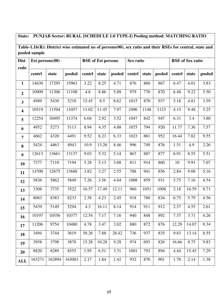# **State: PUNJAB Sector: RURAL [SCHEDULE 1.0 TYPE-I] Pooling method: MATCHING RATIO**

**Table-1.1b(R): District wise estimated no of persons(00), sex ratio and their RSEs for central, state and pooled sample** 

| <b>Dist</b>             | Est persons $(00)$ |        |        |        | <b>RSE</b> of Est persons |        | Sex ratio |       |        |        | <b>RSE</b> of Sex ratio |        |
|-------------------------|--------------------|--------|--------|--------|---------------------------|--------|-----------|-------|--------|--------|-------------------------|--------|
| code                    |                    |        |        |        |                           |        |           |       |        |        |                         |        |
|                         | centrl             | state  | pooled | centrl | state                     | pooled | centrl    | state | pooled | centrl | state                   | pooled |
| $\mathbf{1}$            | 14630              | 17295  | 15963  | 3.22   | 8.25                      | 4.71   | 876       | 860   | 867    | 6.47   | 4.01                    | 3.83   |
| $\overline{2}$          | 10909              | 11306  | 11108  | 4.8    | 8.86                      | 5.09   | 979       | 776   | 870    | 6.48   | 9.22                    | 5.50   |
| $\overline{\mathbf{3}}$ | 4989               | 5430   | 5210   | 15.45  | 8.5                       | 8.62   | 1015      | 870   | 937    | 5.18   | 4.81                    | 3.59   |
| $\overline{\mathbf{4}}$ | 10519              | 11594  | 11057  | 11.02  | 11.45                     | 7.97   | 1096      | 1148  | 1123   | 4.15   | 9.48                    | 5.25   |
| 5                       | 12254              | 10495  | 11374  | 6.04   | 2.92                      | 3.52   | 1047      | 842   | 947    | 6.31   | 3.4                     | 3.80   |
| 6                       | 4952               | 5273   | 5113   | 8.94   | 4.35                      | 4.88   | 1075      | 794   | 920    | 11.77  | 7.36                    | 7.57   |
| $\overline{7}$          | 4662               | 4320   | 4491   | 9.52   | 8.23                      | 6.33   | 1023      | 881   | 952    | 16.44  | 7.82                    | 9.55   |
| 8                       | 5424               | 4463   | 4943   | 10.9   | 13.26                     | 8.46   | 996       | 749   | 876    | 1.51   | 4.9                     | 2.26   |
| $\boldsymbol{9}$        | 12613              | 13661  | 13137  | 9.03   | 5.32                      | 5.14   | 867       | 887   | 877    | 6.91   | 8.55                    | 5.51   |
| 10                      | 7277               | 7110   | 7194   | 5.28   | 5.13                      | 3.68   | 811       | 914   | 860    | 10     | 9.91                    | 7.07   |
| 11                      | 14700              | 12675  | 13688  | 3.82   | 3.27                      | 2.55   | 788       | 941   | 856    | 2.84   | 9.08                    | 5.16   |
| 12                      | 5836               | 5862   | 5849   | 7.26   | 3.56                      | 4.04   | 1008      | 859   | 931    | 5.75   | 7.16                    | 4.54   |
| 13                      | 3308               | 3735   | 3522   | 16.57  | 17.49                     | 12.11  | 960       | 1051  | 1008   | 2.18   | 16.59                   | 8.71   |
| 14                      | 8083               | 8383   | 8233   | 2.38   | 4.23                      | 2.45   | 918       | 760   | 834    | 6.75   | 5.79                    | 4.56   |
| 15                      | 5439               | 5149   | 5294   | 4.3    | 16.11                     | 8.14   | 914       | 911   | 912    | 2.57   | 4.55                    | 2.61   |
| 16                      | 10197              | 10556  | 10377  | 12.54  | 7.17                      | 7.16   | 940       | 848   | 892    | 7.37   | 3.71                    | 4.26   |
| 17                      | 11206              | 9754   | 10480  | 4.78   | 3.47                      | 3.02   | 880       | 872   | 876    | 12.29  | 14.07                   | 9.34   |
| 18                      | 3494               | 3744   | 3619   | 58.26  | 7.88                      | 28.42  | 736       | 937   | 835    | 9.83   | 13.14                   | 8.55   |
| 19                      | 3958               | 3798   | 3878   | 15.28  | 10.28                     | 9.28   | 974       | 693   | 826    | 16.66  | 0.75                    | 9.83   |
| 20                      | 8820               | 8289   | 8555   | 1.95   | 6.51                      | 3.31   | 1001      | 793   | 894    | 4.44   | 15.45                   | 7.29   |
| <b>ALL</b>              | 163271             | 162894 | 163083 | 2.17   | 1.84                      | 1.42   | 932       | 870   | 901    | 1.78   | 2.14                    | 1.38   |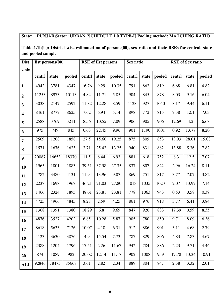# **State: PUNJAB Sector: URBAN [SCHEDULE 1.0 TYPE-I] Pooling method: MATCHING RATIO**

**Table-1.1b(U): District wise estimated no of persons(00), sex ratio and their RSEs for central, state and pooled sample** 

| <b>Dist</b>             |        | Est persons(00) |        |        | <b>RSE</b> of Est persons |        | Sex ratio |       |        |        | <b>RSE</b> of Sex ratio |        |
|-------------------------|--------|-----------------|--------|--------|---------------------------|--------|-----------|-------|--------|--------|-------------------------|--------|
| code                    |        |                 |        |        |                           |        |           |       |        |        |                         |        |
|                         | centrl | state           | pooled | centrl | state                     | pooled | centrl    | state | pooled | centrl | state                   | pooled |
|                         |        |                 |        |        |                           |        |           |       |        |        |                         |        |
| $\mathbf{1}$            | 4942   | 3781            | 4347   | 16.76  | 9.29                      | 10.35  | 791       | 862   | 819    | 6.68   | 6.81                    | 4.82   |
| $\overline{2}$          | 11253  | 8973            | 10113  | 4.84   | 11.71                     | 5.85   | 904       | 845   | 878    | 8.03   | 9.16                    | 6.04   |
| $\overline{\mathbf{3}}$ | 3038   | 2147            | 2592   | 11.82  | 12.28                     | 8.59   | 1128      | 927   | 1040   | 8.17   | 9.44                    | 6.11   |
| $\overline{\mathbf{4}}$ | 8461   | 8777            | 8625   | 7.62   | 6.94                      | 5.14   | 898       | 772   | 815    | 7.38   | 12.1                    | 7.03   |
| 5                       | 2588   | 3769            | 3211   | 8.56   | 10.55                     | 7.09   | 906       | 905   | 906    | 12.69  | 4.2                     | 6.68   |
| 6                       | 975    | 749             | 845    | 0.63   | 22.45                     | 9.96   | 901       | 1190  | 1001   | 0.92   | 13.77                   | 8.20   |
| $\overline{7}$          | 2509   | 1208            | 1858   | 27.5   | 15.66                     | 19.25  | 875       | 809   | 853    | 13.93  | 28.01                   | 15.08  |
| 8                       | 1571   | 1676            | 1623   | 3.71   | 25.42                     | 13.25  | 940       | 831   | 882    | 13.88  | 5.36                    | 7.82   |
| $\boldsymbol{9}$        | 20087  | 16653           | 18370  | 11.5   | 6.44                      | 6.93   | 881       | 618   | 752    | 8.3    | 12.5                    | 7.07   |
| 10                      | 1965   | 1801            | 1883   | 39.51  | 37.58                     | 27.35  | 837       | 807   | 822    | 2.96   | 16.24                   | 8.11   |
| 11                      | 4782   | 3480            | 4131   | 11.94  | 13.96                     | 9.07   | 869       | 751   | 817    | 3.77   | 7.07                    | 3.82   |
| 12                      | 2237   | 1698            | 1967   | 46.21  | 21.03                     | 27.80  | 1013      | 1035  | 1023   | 2.07   | 13.97                   | 7.14   |
| 13                      | 1466   | 2324            | 1895   | 48.61  | 23.81                     | 23.81  | 778       | 1063  | 943    | 0.53   | 0.58                    | 0.39   |
| 14                      | 4725   | 4966            | 4845   | 8.28   | 2.59                      | 4.25   | 861       | 976   | 918    | 3.77   | 6.41                    | 3.84   |
| 15                      | 1368   | 1391            | 1380   | 18.29  | 6.8                       | 9.69   | 847       | 920   | 883    | 17.39  | 0.59                    | 8.35   |
| 16                      | 4876   | 3527            | 4202   | 6.85   | 10.28                     | 5.87   | 905       | 780   | 850    | 9.71   | 8.09                    | 6.36   |
| 17                      | 8618   | 5633            | 7126   | 10.07  | 4.18                      | 6.31   | 912       | 886   | 901    | 3.11   | 4.68                    | 2.79   |
| <b>18</b>               | 4123   | 3630            | 3876   | 4.9    | 15.54                     | 7.73   | 787       | 829   | 806    | 4.83   | 7.83                    | 4.67   |
| 19                      | 2388   | 1204            | 1796   | 17.51  | 2.26                      | 11.67  | 942       | 784   | 886    | 2.23   | 9.71                    | 4.46   |
| 20                      | 874    | 1089            | 982    | 20.02  | 12.14                     | 11.17  | 902       | 1008  | 959    | 17.78  | 13.34                   | 10.91  |
| <b>ALL</b>              | 92846  | 78475           | 85668  | 3.61   | 2.82                      | 2.34   | 889       | 804   | 847    | 2.38   | 3.32                    | 2.01   |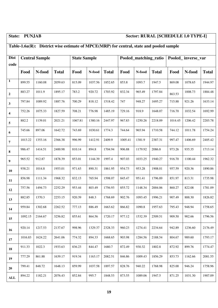**ALL** 

### State: PUNJAB Sector: RURAL [SCHEDULE 1.0 TYPE-I]

### **Table-1.6a(R): District wise estimate of MPCE(MRP) for central, state and pooled sample Dist code Central Sample** State Sample | State Sample | Pooled\_matching\_ratio | Pooled\_ inverse\_var **Food N-food Total Food N-food Total Food N-food Total Food N-food Total 1** 899.55 1160.08 2059.63 815.09 1037.56 1852.65 853.8 1093.7 1947.5 869.08 1078.65 1944.97 **2**  883.27 1011.9 1895.17 783.2 920.72 1703.92 832.34 965.49 1797.84 863.53 1008.73 1884.48 **3**  797.84 1089.92 1887.76 700.29 818.12 1518.42 747 948.27 1695.27 715.88 921.26 1633.14 **4**  752.26 1075.33 1827.59 708.21 776.98 1485.19 729.16 918.9 1648.07 716.70 1032.54 1692.99 **5**  882.2 1139.01 2021.21 1067.81 1380.16 2447.97 967.83 1250.26 2218.09 1014.45 1206.42 2203.78 **6**  745.66 897.06 1642.72 743.69 1030.61 1774.3 744.64 965.94 1710.58 744.12 1011.78 1754.24 **7**  1013.22 1353.16 2366.38 996.99 1412.91 2409.9 1005.41 1381.9 2387.31 997.47 1406.69 2405.42 **8**  986.47 | 1414.51 | 2400.98 | 810.14 | 894.8 | 1704.94 | 906.88 | 1179.92 | 2086.8 | 973.26 | 935.35 | 1713.14 **9**  965.52 | 912.87 | 1878.39 | 853.01 | 1144.39 | 1997.4 | 907.03 | 1033.25 | 1940.27 | 916.70 | 1100.44 | 1962.32 **10** 938.21 1014.8 1953.01 971.63 890.31 1861.95 954.73 953.28 1908.01 957.59 920.36 1890.86 **11** 856.98 | 1111.34 | 1968.32 | 832.13 | 765.94 | 1598.07 | 845.47 | 951.41 | 1796.89 | 851.97 | 813.31 | 1735.98 **12** 757.56 1494.73 2252.29 953.44 803.49 1756.93 855.72 1148.34 2004.06 860.27 822.08 1781.09 **13** 882.85 1370.3 2253.15 920.39 848.3 1768.69 902.76 1093.45 1996.21 907.49 888.30 1826.82 **14** 959.84 1302.68 2262.52 777.13 886.49 1663.62 866.82 1090.8 1957.63 795.43 948.94 1758.65 **15** 1092.15 2164.67 | 3256.82 | 855.61 | 864.56 | 1720.17 | 977.12 | 1532.39 | 2509.51 | 909.50 | 902.66 | 1796.56 **16** 920.14 1217.53 2137.67 998.96 1329.37 2328.33 960.23 1274.41 2234.64 942.89 1236.60 2176.49 **17** 1016.83 1624.22 2641.06 774.32 894.33 1668.65 903.98 1284.56 2188.54 804.67 989.60 1793.17 **18** 911.33 | 1022.3 | 1933.63 | 836.23 | 844.47 | 1680.7 | 872.49 | 930.32 | 1802.8 | 872.92 | 899.76 | 1774.47 **19** 777.29 861.88 1639.17 919.34 1163.17 2082.51 846.86 1009.43 1856.29 853.73 1162.66 2081.55 **20** 799.41 848.72 1648.13 859.99 1037.58 1897.57 828.76 940.22 1768.98 825.00 946.24 1758.96 894.22 | 1182.21 | 2076.43 | 852.84 | 995.7 | 1848.53 | 873.55 | 1089.06 | 1947.5 | 871.25 | 1031.30 | 1907.09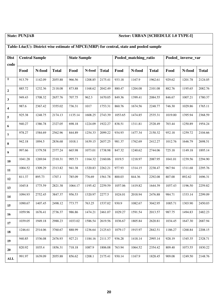### **State: PUNJAB Sector: URBAN [SCHEDULE 1.0 TYPE-I]**

### **Table-1.6a(U): District wise estimate of MPCE(MRP) for central, state and pooled sample Dist code Central Sample** State Sample | State Sample | Pooled\_matching\_ratio | Pooled\_ inverse\_var **Food N-food Total Food N-food Total Food N-food Total Food N-food Total 1** 913.79 1142.09 2055.88 966.56 1208.85 2175.41 933.18 1167.9 1962.61 929.62 1201.78 2124.05 **2**  885.72 | 1232.36 | 2118.08 | 873.88 | 1168.62 | 2042.49 | 880.47 | 1204.08 | 2101.08 | 882.76 | 1195.65 | 2082.76 **3**  949.43 | 1708.32 | 2657.76 | 707.75 | 962.3 | 1670.05 | 849.36 | 1399.41 | 2084.55 | 846.67 | 1007.21 | 1780.37 **4**  987.6 | 2367.42 | 3355.02 | 736.31 | 1017 | 1753.31 | 860.76 | 1674.56 | 2248.77 | 746.30 | 1029.86 | 1765.11 **5**  925.38 1248.75 2174.13 1135.14 1608.25 2743.39 1053.65 1474.85 2535.31 1019.00 1395.94 2368.59 **6**  940.27 1386.78 2327.05 698.18 1224.09 1922.27 838.51 1311.81 2528.49 703.44 1250.89 1954.24 **7**  978.27 1584.69 2562.96 844.89 1254.33 2099.22 934.93 1477.34 2150.32 952.18 1259.72 2104.66 **8**  942.18 1894.5 2836.68 1018.1 1639.15 2657.25 981.37 1762.69 2412.27 1012.76 1646.79 2698.51 **9**  997.66 1379.58 2377.24 665.98 1073.01 1738.98 847.32 1240.62 2744.06 725.18 1149.18 1895.14 **10** 1041.28 1269.04 2310.31 995.73 1164.32 2160.06 1019.5 1218.97 2087.95 1041.01 1239.56 2294.90 **11** 1004.52 1309.29 2313.82 941.38 1320.83 2262.21 977.93 1314.15 2238.47 967.94 1311.68 2295.76 **12** 811.37 | 895.73 | 1707.1 | 785.09 | 776.69 | 1561.78 | 800.03 | 844.36 | 2292.08 | 807.00 | 892.62 | 1696.31 **13** 1045.8 1775.59 2821.38 1064.17 1195.42 2259.59 1057.06 1419.82 1644.39 1057.43 1196.50 2259.82 **14** 1094.93 2752.45 3847.37 956.53 1320.97 2277.5 1024.01 2018.94 2476.88 984.71 1333.14 2299.09 **15** 1090.67 1407.45 2498.12 773.77 763.25 1537.02 930.9 1082.67 3042.95 1085.71 1303.90 2450.03 **16** 1059.96 1676.41 2736.37 986.86 1474.21 2461.07 1029.27 1591.54 2013.57 987.75 1494.83 2482.23 **17** 1039.05 1949.18 2988.23 1033.02 1586.54 2619.56 1036.67 1805.84 2620.81 1034.45 1647.30 2687.94 **18** 1246.61 2514.06 3760.67 888.99 1236.64 2125.63 1079.17 1915.97 2842.51 1186.27 1268.84 2208.15 **19** 940.85 | 1536.08 | 2476.93 | 927.21 | 1184.16 | 2111.37 | 936.28 | 1418.14 | 2995.14 | 928.19 | 1345.35 | 2328.71 **20** 820.92 1035.4 1856.31 718.18 1087.9 1806.08 763.94 1064.52 2354.42 809.40 1073.55 1830.22 **ALL**  991.97 | 1639.09 | 2055.88 | 856.62 | 1208.1 | 2175.41 | 930.14 | 1167.9 | 1828.45 | 909.08 | 1249.50 | 2148.76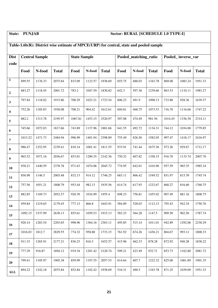# **State: PUNJAB Sector: RURAL [SCHEDULE 1.0 TYPE-I]**

### **Table-1.6b(R): District wise estimate of MPCE(URP) for central, state and pooled sample**

| <b>Dist</b>      |         | <b>Central Sample</b> |              | <b>State Sample</b> |         |              |        | Pooled matching ratio |              |         | Pooled_inverse_var |              |
|------------------|---------|-----------------------|--------------|---------------------|---------|--------------|--------|-----------------------|--------------|---------|--------------------|--------------|
| code             |         |                       |              |                     |         |              |        |                       |              |         |                    |              |
|                  | Food    | N-food                | <b>Total</b> | Food                | N-food  | <b>Total</b> | Food   | N-food                | <b>Total</b> | Food    | N-food             | <b>Total</b> |
| $\mathbf{1}$     | 899.55  | 1176.33               | 2075.84      | 815.09              | 1123.57 | 1938.69      | 655.75 | 688.03                | 1343.78      | 869.08  | 1083.24            | 1951.33      |
| $\boldsymbol{2}$ | 883.27  | 1118.45               | 2001.72      | 783.2               | 1047.59 | 1830.82      | 642.3  | 597.36                | 1239.66      | 863.53  | 1110.11            | 1983.27      |
| $\mathbf{3}$     | 797.84  | 1118.02               | 1915.86      | 700.29              | 1023.21 | 1723.54      | 606.23 | 491.9                 | 1098.13      | 715.88  | 928.36             | 1639.37      |
| 4                | 752.26  | 1185.83               | 1938.08      | 708.21              | 904.42  | 1612.61      | 604.81 | 468.75                | 1073.53      | 716.70  | 1116.66            | 1747.22      |
| 5                | 882.2   | 1313.78               | 2195.97      | 1067.81             | 1453.15 | 2520.97      | 507.08 | 474.49                | 981.56       | 1014.45 | 1336.38            | 2314.11      |
| 6                | 745.66  | 1072.03               | 1817.66      | 743.69              | 1137.96 | 1881.66      | 641.55 | 492.72                | 1134.31      | 744.12  | 1034.88            | 1779.85      |
| 7                | 1013.22 | 1471.73               | 2484.94      | 996.99              | 1401.94 | 2398.89      | 755.49 | 826.56                | 1582.05      | 997.47  | 1418.17            | 2416.97      |
| 8                | 986.47  | 1252.95               | 2239.41      | 810.14              | 1001.41 | 1811.55      | 933.91 | 741.44                | 1675.36      | 973.26  | 929.67             | 1712.17      |
| 9                | 965.52  | 1071.16               | 2036.67      | 853.01              | 1289.35 | 2142.36      | 750.32 | 607.82                | 1358.15      | 916.70  | 1133.74            | 2007.70      |
| 10               | 938.21  | 1440.59               | 2378.78      | 971.63              | 1074.06 | 2045.72      | 774.95 | 642.01                | 1416.96      | 957.59  | 965.35             | 1985.34      |
| 11               | 856.98  | 1146.5                | 2003.48      | 832.13              | 914.12  | 1746.25      | 683.11 | 866.42                | 1549.52      | 851.97  | 815.39             | 1745.74      |
| 12               | 757.56  | 1051.21               | 1808.79      | 953.44              | 982.13  | 1935.56      | 614.74 | 617.93                | 1232.67      | 860.27  | 816.60             | 1760.75      |
| 13               | 882.85  | 1169.73               | 2052.57      | 920.39              | 1034.99 | 1955.4       | 698.23 | 756.81                | 1455.02      | 907.49  | 881.16             | 1808.75      |
| 14               | 959.84  | 1219.65               | 2179.45      | 777.13              | 866.8   | 1643.91      | 584.09 | 528.03                | 1112.13      | 795.43  | 942.34             | 1750.76      |
| 15               | 1092.15 | 1537.99               | 2630.13      | 855.61              | 1059.53 | 1915.13      | 583.23 | 564.28                | 1147.5       | 909.50  | 902.56             | 1787.74      |
| 16               | 920.14  | 1283.54               | 2203.65      | 998.96              | 1364.16 | 2363.11      | 495.85 | 515.14                | 1011.01      | 942.89  | 1292.06            | 2230.29      |
| 17               | 1016.83 | 1812.7                | 2829.55      | 774.32              | 958.88  | 1733.15      | 761.92 | 674.26                | 1436.21      | 804.67  | 993.11             | 1800.33      |
| 18               | 911.33  | 1265.91               | 2177.21      | 836.23              | 816.3   | 1652.57      | 415.96 | 462.33                | 878.28       | 872.92  | 940.28             | 1838.22      |
| 19               | 777.29  | 916.87                | 1694.12      | 919.34              | 1201.42 | 2120.74      | 509.21 | 423.49                | 932.71       | 853.73  | 1162.80            | 2081.72      |
| 20               | 799.41  | 1105.97               | 1905.38      | 859.99              | 1197.55 | 2057.53      | 614.64 | 607.7                 | 1222.32      | 825.00  | 1061.89            | 1901.35      |
| <b>ALL</b>       | 894.22  | 1242.18               | 2075.84      | 852.84              | 1102.42 | 1938.69      | 516.31 | 490.5                 | 1343.78      | 871.25  | 1039.09            | 1951.33      |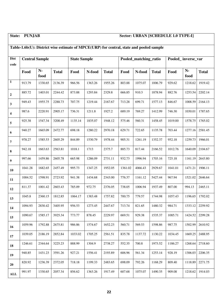### **State: PUNJAB Sector: URBAN [SCHEDULE 1.0 TYPE-I]**

### **Table-1.6b(U): District wise estimate of MPCE(URP) for central, state and pooled sample Dist code Central Sample State Sample State Sample Pooled matching ratio Pooled inverse var Food Nfood Total Food N-food Total Food N-food Total Food Nfood Total 1** 913.79 1330.65 2136.39 966.56 1363.26 1955.26 803.88 1075.07 1006.79 929.62 1218.62 1919.42 **2**  885.72 1403.01 2244.42 873.88 1293.84 2329.8 666.85 910.3 1878.94 882.76 1253.54 2202.14 **3**  949.43 | 1955.75 | 2288.73 | 707.75 | 1219.44 | 2167.67 | 713.28 | 699.71 | 1577.13 | 846.67 | 1008.59 | 2164.13 **4**  987.6 | 2220.91 | 2905.17 | 736.31 | 1211.8 | 1927.2 | 689.19 | 769.27 | 1412.99 | 746.30 | 1030.01 | 1787.65 **5**  925.38 1547.34 3208.49 1135.14 1835.07 1948.12 575.46 560.31 1458.45 1019.00 1578.75 1765.02 **6**  940.27 | 1665.09 | 2472.77 | 698.18 | 1280.22 | 2970.18 | 629.71 | 722.65 | 1135.78 | 703.44 | 1277.16 | 2581.45 **7**  978.27 | 1585.53 | 2605.29 | 844.89 | 1530.79 | 1978.44 | 905.31 | 1261.19 | 1352.37 | 952.18 | 1259.73| 1966.01 **8**  942.18 1663.63 2563.81 1018.1 1713 2375.7 885.73 817.44 2166.52 1012.76 1640.09 2104.67 **9**  997.66 | 1459.86 | 2605.78 | 665.98 | 1286.09 | 2731.11 | 932.73 | 1996.94 | 1703.16 | 725.18 | 1161.19| 2643.80 **10** 1041.28 1682.65 2457.49 995.73 1347.25 1952.05 1361.02 4066.43 2929.67 1041.01 1471.21 1906.11 **11** 1004.52 1598.91 2723.92 941.38 1434.68 2343.00 776.37 1161.12 5427.44 967.94 1521.02 2646.64 **12** 811.37 | 1001.42 | 2603.43 | 785.09 | 972.75 | 2376.05 | 738.05 | 1006.94 | 1937.49 | 807.00 | 994.13 | 2465.11 **13** 1045.8 2360.15 1812.85 1064.17 1383.48 1757.82 700.75 779.57 1744.98 1057.43 1196.65 1792.02 **14** 1094.93 2830.42 3405.95 956.53 1273.45 2447.67 713.74 821.65 1480.32 984.71 1333.12 2259.92 **15** 1090.67 1585.17 3925.34 773.77 878.45 2229.97 669.51 929.38 1535.37 1085.71 1424.52 2299.28 **16** 1059.96 1792.88 2675.81 986.86 1574.67 1652.23 560.71 569.53 1598.86 987.75 1502.99 2610.92 **17** 1039.05 2186.19 2852.84 1033.02 1705.25 2561.51 835.78 1137.72 1130.22 1034.45 1669.25 2488.95 **18** 1246.61 2344.64 3225.23 888.99 1304.9 2738.27 552.35 700.8 1973.52 1186.27 1268.64 2718.60 **19** 940.85 | 1431.23 | 3591.26 | 927.21 | 1556.41 | 2193.89 | 606.96 | 561.34 | 1253.14 | 928.19 | 1306.03| 2206.35 **20** 820.92 1236.39 2372.05 718.18 1199.33 2483.65 698.09 792.26 1168.29 809.40 1118.89 2271.75 **ALL**  991.97 | 1330.65 | 2057.34 | 856.62 | 1363.26 | 1917.49 | 607.68 | 1075.07 | 1490.35 | 909.08 | 1218.62 | 1914.03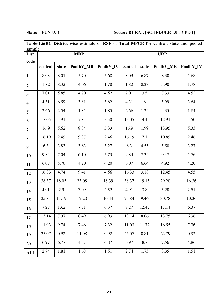# **State: PUNJAB Sector: RURAL [SCHEDULE 1.0 TYPE-I]**

|                         | Table-1.6(R): District wise estimate of RSE of Total MPCE for central, state and pooled<br>sample |       |            |           |         |       |            |           |  |  |  |  |  |
|-------------------------|---------------------------------------------------------------------------------------------------|-------|------------|-----------|---------|-------|------------|-----------|--|--|--|--|--|
|                         |                                                                                                   |       |            |           |         |       |            |           |  |  |  |  |  |
| <b>Dist</b>             |                                                                                                   |       | <b>MRP</b> |           |         |       | <b>URP</b> |           |  |  |  |  |  |
| code                    | central                                                                                           | state | PoolbY_MR  | PoolbY_IV | central | state | PoolbY_MR  | PoolbY_IV |  |  |  |  |  |
| $\mathbf{1}$            | 8.03                                                                                              | 8.01  | 5.70       | 5.68      | 8.03    | 6.87  | 8.30       | 5.68      |  |  |  |  |  |
| $\overline{2}$          | 1.82                                                                                              | 8.32  | 4.06       | 1.78      | 1.82    | 8.28  | 5.90       | 1.78      |  |  |  |  |  |
| $\mathbf{3}$            | 7.01                                                                                              | 5.85  | 4.70       | 4.52      | 7.01    | 3.5   | 7.33       | 4.52      |  |  |  |  |  |
| $\overline{\mathbf{4}}$ | 4.31                                                                                              | 6.59  | 3.81       | 3.62      | 4.31    | 6     | 5.99       | 3.64      |  |  |  |  |  |
| 5                       | 2.66                                                                                              | 2.54  | 1.85       | 1.85      | 2.66    | 1.24  | 4.35       | 1.84      |  |  |  |  |  |
| 6                       | 15.05                                                                                             | 5.91  | 7.85       | 5.50      | 15.05   | 4.4   | 12.91      | 5.50      |  |  |  |  |  |
| $\overline{7}$          | 16.9                                                                                              | 5.62  | 8.84       | 5.33      | 16.9    | 1.99  | 13.95      | 5.33      |  |  |  |  |  |
| 8                       | 16.19                                                                                             | 2.49  | 9.37       | 2.46      | 16.19   | 7.1   | 10.89      | 2.46      |  |  |  |  |  |
| $\boldsymbol{9}$        | 6.3                                                                                               | 3.83  | 3.63       | 3.27      | 6.3     | 4.55  | 5.50       | 3.27      |  |  |  |  |  |
| 10                      | 9.84                                                                                              | 7.04  | 6.10       | 5.73      | 9.84    | 7.34  | 9.47       | 5.76      |  |  |  |  |  |
| 11                      | 6.07                                                                                              | 5.76  | 4.20       | 4.20      | 6.07    | 6.64  | 4.92       | 4.20      |  |  |  |  |  |
| 12                      | 16.33                                                                                             | 4.74  | 9.41       | 4.56      | 16.33   | 3.18  | 12.45      | 4.55      |  |  |  |  |  |
| 13                      | 38.37                                                                                             | 18.05 | 23.08      | 16.39     | 38.37   | 19.15 | 29.20      | 16.36     |  |  |  |  |  |
| 14                      | 4.91                                                                                              | 2.9   | 3.09       | 2.52      | 4.91    | 3.8   | 5.28       | 2.51      |  |  |  |  |  |
| 15                      | 25.84                                                                                             | 11.19 | 17.20      | 10.44     | 25.84   | 9.46  | 30.78      | 10.36     |  |  |  |  |  |
| <b>16</b>               | 7.27                                                                                              | 13.2  | 7.71       | 6.37      | 7.27    | 12.47 | 17.14      | 6.37      |  |  |  |  |  |
| 17                      | 13.14                                                                                             | 7.97  | 8.49       | 6.93      | 13.14   | 8.06  | 13.75      | 6.96      |  |  |  |  |  |
| 18                      | 11.03                                                                                             | 9.74  | 7.46       | 7.32      | 11.03   | 11.72 | 16.55      | 7.36      |  |  |  |  |  |
| 19                      | 25.07                                                                                             | 0.92  | 11.08      | 0.92      | 25.07   | 0.81  | 22.79      | 0.92      |  |  |  |  |  |
| 20                      | 6.97                                                                                              | 6.77  | 4.87       | 4.87      | 6.97    | 8.7   | 7.56       | 4.86      |  |  |  |  |  |
| <b>ALL</b>              | 2.74                                                                                              | 1.81  | 1.68       | 1.51      | 2.74    | 1.75  | 3.35       | 1.51      |  |  |  |  |  |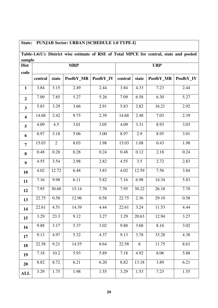| State:                  |         |                | <b>PUNJAB Sector: URBAN [SCHEDULE 1.0 TYPE-I]</b>                                       |           |         |       |            |           |
|-------------------------|---------|----------------|-----------------------------------------------------------------------------------------|-----------|---------|-------|------------|-----------|
|                         |         |                | Table-1.6(U): District wise estimate of RSE of Total MPCE for central, state and pooled |           |         |       |            |           |
| sample                  |         |                |                                                                                         |           |         |       |            |           |
| <b>Dist</b>             |         |                | <b>MRP</b>                                                                              |           |         |       | <b>URP</b> |           |
| code                    | central | state          | PoolbY MR                                                                               | PoolbY_IV | central | state | PoolbY_MR  | PoolbY_IV |
|                         |         |                |                                                                                         |           |         |       |            |           |
| $\mathbf{1}$            | 3.84    | 3.15           | 2.49                                                                                    | 2.44      | 3.84    | 4.33  | 7.23       | 2.44      |
| $\overline{2}$          | 7.09    | 7.85           | 5.27                                                                                    | 5.26      | 7.09    | 6.58  | 6.30       | 5.27      |
| $\overline{3}$          | 5.83    | 3.29           | 3.66                                                                                    | 2.91      | 5.83    | 2.82  | 16.21      | 2.92      |
| $\overline{\mathbf{4}}$ | 14.68   | 2.42           | 9.75                                                                                    | 2.39      | 14.68   | 2.48  | 7.03       | 2.39      |
| 5                       | 4.09    | 4.5            | 3.01                                                                                    | 3.05      | 4.09    | 3.31  | 8.93       | 3.03      |
| 6                       | 8.97    | 3.18           | 5.06                                                                                    | 3.00      | 8.97    | 2.9   | 8.95       | 3.01      |
| $\overline{7}$          | 15.03   | $\overline{2}$ | 8.03                                                                                    | 1.98      | 15.03   | 1.08  | 0.43       | 1.98      |
| 8                       | 0.48    | 0.28           | 0.28                                                                                    | 0.24      | 0.48    | 0.12  | 2.18       | 0.24      |
| 9                       | 4.55    | 3.54           | 2.98                                                                                    | 2.82      | 4.55    | 3.5   | 2.72       | 2.83      |
| 10                      | 4.02    | 12.72          | 6.48                                                                                    | 3.83      | 4.02    | 12.59 | 7.56       | 3.84      |
| 11                      | 7.16    | 9.98           | 6.11                                                                                    | 5.82      | 7.16    | 6.98  | 14.34      | 5.83      |
| 12                      | 7.95    | 30.68          | 15.14                                                                                   | 7.70      | 7.95    | 30.22 | 26.18      | 7.70      |
| 13                      | 22.75   | 0.58           | 12.96                                                                                   | 0.58      | 22.75   | 2.36  | 29.10      | 0.58      |
| 14                      | 22.61   | 4.51           | 14.39                                                                                   | 4.44      | 22.61   | 3.24  | 11.53      | 4.44      |
| 15                      | 3.29    | 23.3           | 9.12                                                                                    | 3.27      | 3.29    | 20.63 | 12.94      | 3.27      |
| 16                      | 9.88    | 3.17           | 5.37                                                                                    | 3.02      | 9.88    | 3.68  | 8.16       | 3.02      |
| 17                      | 9.13    | 4.97           | 5.32                                                                                    | 4.37      | 9.13    | 3.78  | 33.28      | 4.38      |
| 18                      | 22.58   | 9.21           | 14.55                                                                                   | 8.64      | 22.58   | 6     | 11.75      | 8.63      |
| 19                      | 7.18    | 10.2           | 5.93                                                                                    | 5.89      | 7.18    | 4.92  | 8.06       | 5.88      |
| 20                      | 8.82    | 8.72           | 6.21                                                                                    | 6.20      | 8.82    | 13.18 | 3.89       | 6.21      |
| ALL                     | 3.29    | 1.75           | 1.98                                                                                    | 1.55      | 3.29    | 1.53  | 7.23       | 1.55      |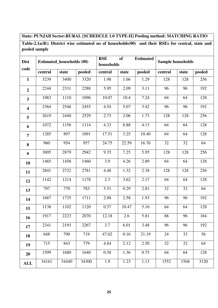# **State: PUNJAB Sector:RURAL [SCHEDULE 1.0 TYPE-II] Pooling method: MATCHING RATIO**

**Table-2.1a(R): District wise estimated no of households(00) and their RSEs for central, state and pooled sample** 

| <b>Dist</b>             | <b>Estimated_households (00)</b> |       |        | <b>RSE</b><br>households | <b>of</b> | <b>Estimated</b> | Sample households | pooled<br>state |      |  |
|-------------------------|----------------------------------|-------|--------|--------------------------|-----------|------------------|-------------------|-----------------|------|--|
| code                    | central                          | state | pooled | central                  | state     | pooled           | central           |                 |      |  |
| $\mathbf{1}$            | 3239                             | 3400  | 3320   | 1.98                     | 1.66      | 1.29             | 128               | 128             | 256  |  |
| $\overline{2}$          | 2244                             | 2331  | 2288   | 5.95                     | 2.09      | 3.11             | 96                | 96              | 192  |  |
| $\overline{\mathbf{3}}$ | 1083                             | 1110  | 1096   | 10.07                    | 10.4      | 7.24             | 64                | 64              | 128  |  |
| $\overline{\mathbf{4}}$ | 2364                             | 2546  | 2455   | 4.54                     | 5.07      | 3.42             | 96                | 96              | 192  |  |
| 5                       | 2619                             | 2440  | 2529   | 2.73                     | 2.06      | 1.73             | 128               | 128             | 256  |  |
| 6                       | 1072                             | 1156  | 1114   | 4.33                     | 6.88      | 4.13             | 64                | 64              | 128  |  |
| $\overline{7}$          | 1285                             | 897   | 1091   | 17.51                    | 3.25      | 10.40            | 64                | 64              | 128  |  |
| 8                       | 960                              | 954   | 957    | 24.75                    | 22.59     | 16.76            | 32                | 32              | 64   |  |
| 9                       | 3005                             | 2879  | 2942   | 9.35                     | 7.25      | 5.95             | 128               | 128             | 256  |  |
| 10                      | 1465                             | 1456  | 1460   | 3.9                      | 4.26      | 2.89             | 64                | 64              | 128  |  |
| 11                      | 2841                             | 2722  | 2781   | 4.48                     | 1.32      | 2.38             | 128               | 128             | 256  |  |
| 12                      | 1142                             | 1214  | 1178   | 2.3                      | 3.62      | 2.17             | 64                | 64              | 128  |  |
| 13                      | 797                              | 770   | 783    | 5.51                     | 0.29      | 2.81             | 32                | 32              | 64   |  |
| 14                      | 1687                             | 1735  | 1711   | 2.88                     | 2.58      | 1.93             | 96                | 96              | 192  |  |
| 15                      | 1138                             | 1102  | 1120   | 0.57                     | 10.47     | 5.16             | 64                | 64              | 128  |  |
| 16                      | 1917                             | 2223  | 2070   | 12.18                    | 2.6       | 5.81             | 88                | 96              | 184  |  |
| 17                      | 2341                             | 2193  | 2267   | 3.7                      | 6.01      | 3.48             | 96                | 96              | 192  |  |
| 18                      | 648                              | 790   | 719    | 47.02                    | 0.16      | 21.19            | 24                | 32              | 56   |  |
| 19                      | 715                              | 843   | 779    | 4.84                     | 2.12      | 2.50             | 32                | 32              | 64   |  |
| 20                      | 1599                             | 1680  | 1640   | 0.58                     | 1.36      | 0.75             | 64                | 64              | 128  |  |
| <b>ALL</b>              | 34161                            | 34440 | 34300  | 1.9                      | 1.23      | 1.13             | 1552              | 1568            | 3120 |  |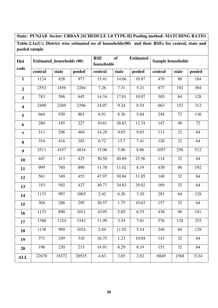# **State: PUNJAB Sector: URBAN [SCHEDULE 1.0 TYPE-II] Pooling method: MATCHING RATIO**

**Table-2.1a(U): District wise estimated no of households(00) and their RSEs for central, state and pooled sample** 

| <b>Dist</b>             | <b>Estimated_households (00)</b> |       |        | <b>RSE</b> | <b>of</b><br><b>Estimated</b><br>Sample households<br>households |        |         |                 |      |  |  |
|-------------------------|----------------------------------|-------|--------|------------|------------------------------------------------------------------|--------|---------|-----------------|------|--|--|
| code                    |                                  |       |        |            |                                                                  |        |         | pooled<br>state |      |  |  |
|                         | central                          | state | pooled | central    | state                                                            | pooled | central |                 |      |  |  |
| $\mathbf{1}$            | 1124                             | 828   | 973    | 15.41      | 14.66                                                            | 10.87  | 470     | 88              | 184  |  |  |
| $\overline{2}$          | 2552                             | 1856  | 2204   | 7.26       | 7.31                                                             | 5.21   | 877     | 192             | 384  |  |  |
| $\overline{\mathbf{3}}$ | 783                              | 506   | 645    | 14.34      | 17.01                                                            | 10.97  | 305     | 64              | 128  |  |  |
| $\overline{\mathbf{4}}$ | 2498                             | 2269  | 2396   | 14.07      | 9.24                                                             | 8.54   | 663     | 152             | 312  |  |  |
| 5                       | 664                              | 930   | 801    | 6.91       | 8.36                                                             | 5.64   | 244     | 72              | 136  |  |  |
| 6                       | 280                              | 185   | 227    | 10.61      | 26.83                                                            | 12.74  | 147     | 40              | 72   |  |  |
| $\overline{7}$          | 511                              | 296   | 404    | 14.29      | 9.05                                                             | 9.63   | 113     | 32              | 64   |  |  |
| 8                       | 354                              | 416   | 385    | 0.72       | 13.7                                                             | 7.41   | 120     | 32              | 64   |  |  |
| 9                       | 5511                             | 4157  | 4834   | 15.06      | 5.06                                                             | 8.86   | 1057    | 256             | 512  |  |  |
| 10                      | 447                              | 413   | 425    | 30.58      | 40.89                                                            | 25.56  | 114     | 32              | 64   |  |  |
| 11                      | 999                              | 780   | 890    | 11.78      | 11.02                                                            | 8.19   | 430     | 96              | 192  |  |  |
| 12                      | 561                              | 349   | 455    | 47.97      | 30.84                                                            | 31.85  | 148     | 32              | 64   |  |  |
| 13                      | 353                              | 502   | 427    | 49.77      | 34.83                                                            | 29.02  | 169     | 32              | 64   |  |  |
| 14                      | 1133                             | 997   | 1065   | 2.42       | 6.26                                                             | 3.20   | 281     | 64              | 128  |  |  |
| 15                      | 304                              | 286   | 295    | 20.57      | 1.75                                                             | 10.63  | 157     | 32              | 64   |  |  |
| 16                      | 1133                             | 890   | 1011   | 10.95      | 5.05                                                             | 6.53   | 438     | 96              | 191  |  |  |
| 17                      | 1760                             | 1324  | 1542   | 11.99      | 3.54                                                             | 7.01   | 576     | 128             | 255  |  |  |
| 18                      | 1138                             | 909   | 1024   | 2.84       | 11.03                                                            | 5.14   | 246     | 64              | 128  |  |  |
| 19                      | 371                              | 249   | 310    | 16.75      | 1.23                                                             | 10.04  | 143     | 32              | 64   |  |  |
| 20                      | 196                              | 230   | 213    | 14.91      | 8.29                                                             | 8.19   | 151     | 32              | 64   |  |  |
| <b>ALL</b>              | 22670                            | 18372 | 20525  | 4.63       | 2.65                                                             | 2.82   | 6849    | 1568            | 3134 |  |  |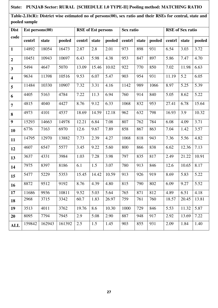# **State: PUNJAB Sector: RURAL [SCHEDULE 1.0 TYPE-II] Pooling method: MATCHING RATIO**

**Table-2.1b(R): District wise estimated no of persons(00), sex ratio and their RSEs for central, state and pooled sample** 

| <b>Dist</b>             | $Est$ persons $(00)$ |        |        |        | <b>RSE</b> of Est persons |        | Sex ratio |       |        | <b>RSE</b> of Sex ratio |       |        |  |
|-------------------------|----------------------|--------|--------|--------|---------------------------|--------|-----------|-------|--------|-------------------------|-------|--------|--|
| code                    | centrl               | state  | pooled | centrl | state                     | pooled | centrl    | state | pooled | centrl                  | state | pooled |  |
| $\mathbf{1}$            | 14892                | 18054  | 16473  | 2.87   | 2.8                       | 2.01   | 973       | 898   | 931    | 6.54                    | 3.03  | 3.72   |  |
| $\overline{2}$          | 10451                | 10943  | 10697  | 6.43   | 5.98                      | 4.38   | 953       | 847   | 897    | 5.86                    | 7.47  | 4.70   |  |
| $\overline{\mathbf{3}}$ | 5494                 | 4647   | 5070   | 13.09  | 15.46                     | 10.02  | 922       | 770   | 850    | 7.02                    | 11.98 | 6.63   |  |
| $\overline{\mathbf{4}}$ | 9634                 | 11398  | 10516  | 9.53   | 6.07                      | 5.47   | 903       | 954   | 931    | 11.19                   | 5.2   | 6.05   |  |
| 5                       | 11484                | 10330  | 10907  | 7.32   | 3.31                      | 4.16   | 1142      | 989   | 1066   | 8.97                    | 5.25  | 5.39   |  |
| 6                       | 4405                 | 5163   | 4784   | 7.22   | 11.3                      | 6.94   | 760       | 914   | 840    | 5.05                    | 8.62  | 5.22   |  |
| $\overline{7}$          | 4815                 | 4040   | 4427   | 8.76   | 9.12                      | 6.33   | 1068      | 832   | 953    | 27.41                   | 6.78  | 15.64  |  |
| 8                       | 4973                 | 4101   | 4537   | 18.69  | 14.59                     | 12.18  | 962       | 632   | 798    | 16.93                   | 3.9   | 10.32  |  |
| 9                       | 15293                | 14663  | 14978  | 12.21  | 6.84                      | 7.08   | 807       | 762   | 784    | 6.08                    | 4.09  | 3.71   |  |
| 10                      | 6776                 | 7163   | 6970   | 12.6   | 9.67                      | 7.89   | 858       | 867   | 863    | 7.04                    | 1.42  | 3.57   |  |
| 11                      | 14795                | 12970  | 13882  | 7.73   | 2.39                      | 4.27   | 1068      | 818   | 943    | 7.36                    | 5.56  | 4.82   |  |
| 12                      | 4607                 | 6547   | 5577   | 3.45   | 9.22                      | 5.60   | 800       | 866   | 838    | 6.62                    | 12.36 | 7.13   |  |
| 13                      | 3637                 | 4331   | 3984   | 1.03   | 7.28                      | 3.98   | 797       | 835   | 817    | 2.49                    | 21.22 | 10.91  |  |
| 14                      | 7975                 | 8397   | 8186   | 6.1    | 1.5                       | 3.07   | 780       | 913   | 846    | 12.6                    | 10.65 | 8.17   |  |
| 15                      | 5477                 | 5229   | 5353   | 15.45  | 14.42                     | 10.59  | 913       | 926   | 919    | 8.69                    | 5.83  | 5.22   |  |
| 16                      | 8872                 | 9512   | 9192   | 8.76   | 4.39                      | 4.80   | 815       | 790   | 802    | 6.09                    | 9.27  | 5.52   |  |
| 17                      | 11686                | 9936   | 10811  | 9.52   | 5.03                      | 5.64   | 765       | 871   | 812    | 4.89                    | 6.51  | 4.18   |  |
| 18                      | 2968                 | 3715   | 3342   | 60.7   | 1.83                      | 26.97  | 759       | 761   | 760    | 18.57                   | 20.45 | 13.81  |  |
| 19                      | 3513                 | 4011   | 3762   | 19.76  | 8.6                       | 10.30  | 1000      | 729   | 846    | 5.53                    | 11.32 | 5.87   |  |
| 20                      | 8095                 | 7794   | 7945   | 2.9    | 5.08                      | 2.90   | 887       | 948   | 917    | 2.92                    | 13.69 | 7.22   |  |
| <b>ALL</b>              | 159842               | 162943 | 161392 | 2.5    | 1.5                       | 1.45   | 903       | 855   | 931    | 2.09                    | 1.84  | 1.40   |  |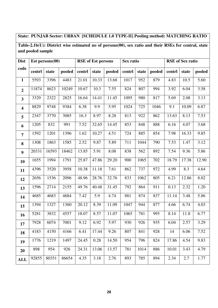# **State: PUNJAB Sector: URBAN [SCHEDULE 1.0 TYPE-II] Pooling method: MATCHING RATIO**

**Table-2.1b(U): District wise estimated no of persons(00), sex ratio and their RSEs for central, state and pooled sample** 

| <b>Dist</b>             |        | Est persons $(00)$ |        |        | <b>RSE</b> of Est persons |        | Sex ratio<br><b>RSE</b> of Sex ratio |       |        |        |       |        |
|-------------------------|--------|--------------------|--------|--------|---------------------------|--------|--------------------------------------|-------|--------|--------|-------|--------|
| code                    | centrl | state              | pooled | centrl | state                     | pooled | centrl                               | state | pooled | centrl | state | pooled |
| $\mathbf{1}$            | 5593   | 3396               | 4483   | 21.01  | 10.33                     | 13.68  | 1017                                 | 952   | 879    | 4.83   | 10.5  | 5.60   |
| $\overline{2}$          | 11874  | 8623               | 10249  | 10.67  | 10.3                      | 7.55   | 824                                  | 807   | 994    | 3.92   | 6.04  | 3.58   |
| $\overline{\mathbf{3}}$ | 3329   | 2322               | 2825   | 16.64  | 14.41                     | 11.45  | 1095                                 | 980   | 817    | 5.69   | 2.08  | 3.13   |
| $\overline{\mathbf{4}}$ | 8829   | 9748               | 9384   | 6.38   | 9.9                       | 5.95   | 1024                                 | 725   | 1046   | 9.1    | 10.09 | 6.87   |
| 5                       | 2347   | 3770               | 3085   | 16.3   | 8.97                      | 8.28   | 813                                  | 922   | 862    | 13.63  | 8.13  | 7.53   |
| 6                       | 1205   | 832                | 991    | 7.52   | 32.65                     | 14.45  | 853                                  | 848   | 888    | 6.16   | 4.07  | 3.68   |
| $\overline{7}$          | 1592   | 1201               | 1396   | 1.62   | 10.27                     | 4.51   | 724                                  | 885   | 854    | 7.98   | 16.33 | 9.85   |
| 8                       | 1308   | 1863               | 1585   | 2.52   | 9.87                      | 5.89   | 711                                  | 1044  | 790    | 7.53   | 1.47  | 3.12   |
| $\boldsymbol{9}$        | 20331  | 16593              | 18462  | 13.85  | 5.91                      | 8.08   | 838                                  | 562   | 892    | 7.54   | 9.36  | 5.86   |
| 10                      | 1655   | 1994               | 1791   | 25.87  | 47.86                     | 29.20  | 900                                  | 1065  | 702    | 18.79  | 17.38 | 12.90  |
| 11                      | 4396   | 3520               | 3958   | 10.38  | 11.18                     | 7.61   | 862                                  | 737   | 972    | 4.99   | 8.3   | 4.64   |
| 12                      | 2656   | 1536               | 2096   | 48.96  | 28.76                     | 32.76  | 833                                  | 1062  | 805    | 6.21   | 12.86 | 8.02   |
| 13                      | 1596   | 2714               | 2155   | 49.76  | 40.48                     | 31.45  | 792                                  | 864   | 911    | 0.13   | 2.32  | 1.20   |
| 14                      | 4685   | 4683               | 4684   | 7.42   | 5.9                       | 4.74   | 881                                  | 874   | 837    | 11.14  | 3.48  | 5.86   |
| 15                      | 1394   | 1327               | 1360   | 20.12  | 8.39                      | 11.09  | 1047                                 | 944   | 877    | 4.66   | 6.74  | 4.03   |
| 16                      | 5281   | 3832               | 4557   | 18.07  | 8.57                      | 11.07  | 1065                                 | 781   | 995    | 8.14   | 11.8  | 6.77   |
| 17                      | 7928   | 6074               | 7001   | 9.12   | 6.92                      | 5.97   | 930                                  | 926   | 935    | 6.04   | 2.57  | 3.29   |
| 18                      | 4183   | 4150               | 4166   | 6.41   | 17.44                     | 9.26   | 807                                  | 841   | 928    | 14     | 6.06  | 7.52   |
| 19                      | 1776   | 1219               | 1497   | 24.45  | 0.28                      | 14.50  | 954                                  | 796   | 824    | 17.86  | 4.54  | 9.83   |
| 20                      | 898    | 954                | 926    | 24.31  | 13.06                     | 13.57  | 781                                  | 1014  | 886    | 10.01  | 3.43  | 4.79   |
| <b>ALL</b>              | 92855  | 80351              | 86654  | 4.35   | 3.18                      | 2.76   | 893                                  | 785   | 894    | 2.34   | 2.7   | 1.77   |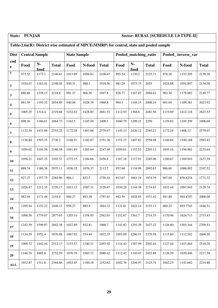# **State: PUNJAB Sector: RURAL [SCHEDULE 1.0 TYPE-II]**

# **Table-2.6a(R): District wise estimated of MPCE(MMRP) for central, state and pooled sample**

| <b>Dist</b>             | <b>Central Sample</b> |              |              |         | <b>State Sample</b> |              |         | Pooled_matching_ratio |              | Pooled_inverse_var |          |              |
|-------------------------|-----------------------|--------------|--------------|---------|---------------------|--------------|---------|-----------------------|--------------|--------------------|----------|--------------|
| cod<br>$\mathbf{e}$     | Food                  | $N-$<br>food | <b>Total</b> | Food    | N-food              | <b>Total</b> | Food    | ${\bf N}$ -<br>food   | <b>Total</b> | Food               | N-food   | <b>Total</b> |
| $\mathbf{1}$            | 973.52                | 1173.1       | 2146.61      | 1013.69 | 1094.81             | 2108.47      | 995.54  | 1130.2                | 2125.71      | 978.16             | 1153.205 | 2139.38      |
| $\boldsymbol{2}$        | 1034.67               | 1163.41      | 2198.05      | 930.31  | 988.1               | 1918.36      | 981.29  | 1073.75               | 2055         | 1024.88            | 1054.897 | 2134.38      |
| $\mathbf{3}$            | 880.68                | 1338.15      | 2218.8       | 981.27  | 966.56              | 1947.8       | 926.77  | 1167.87               | 2094.62      | 902.34             | 1178.882 | 2149.77      |
| $\overline{\mathbf{4}}$ | 861.59                | 1193.32      | 2054.89      | 940.04  | 1028.78             | 1968.8       | 904.1   | 1104.15               | 2008.24      | 901.04             | 1109.381 | 2023.92      |
| 5                       | 1005.25               | 1314.4       | 2319.68      | 1232.63 | 1428.85             | 2661.52      | 1112.93 | 1368.6                | 2481.56      | 1119.89            | 1412.118 | 2623.53      |
| $\boldsymbol{6}$        | 898.16                | 1166.61      | 2064.73      | 1162.5  | 1245.56             | 2408.1       | 1040.79 | 1209.21               | 2250         | 1159.82            | 1245.209 | 2406.68      |
| $\overline{7}$          | 1122.26               | 1431.08      | 2553.25      | 1172.38 | 1407.06             | 2579.47      | 1145.13 | 1420.12               | 2565.21      | 1172.24            | 1408.12  | 2579.07      |
| ${\bf 8}$               | 1136.84               | 1593.35      | 2730.2       | 1168.51 | 1182.87             | 2351.36      | 1151.15 | 1407.82               | 2558.98      | 1160.84            | 1540.168 | 2583.42      |
| $\boldsymbol{9}$        | 1059.02               | 1101.58      | 2160.58      | 1041.84 | 1205.64             | 2247.48      | 1050.61 | 1152.52               | 2203.12      | 1045.16            | 1194.981 | 2235.64      |
| 10                      | 1056.21               | 1047.35      | 2103.51      | 1272.15 | 1184.66             | 2456.8       | 1167.18 | 1117.91               | 2285.06      | 1260.67            | 1169.943 | 2437.59      |
| 11                      | 888.74                | 1186.38      | 2075.11      | 1036.32 | 1076.37             | 2112.7       | 957.68  | 1134.99               | 2092.67      | 986.60             | 1088.002 | 2107.52      |
| 12                      | 927.27                | 1357.75      | 2284.96      | 904.1   | 852.5               | 1756.54      | 913.67  | 1061.19               | 1974.79      | 907.04             | 856.8254 | 1771.32      |
| 13                      | 1026.87               | 1212.35      | 2239.17      | 1033.15 | 1087.31             | 2120.47      | 1030.28 | 1144.38               | 2174.65      | 1032.44            | 1093.943 | 2129.74      |
| 14                      | 982.94                | 1171.48      | 2154.4       | 904.27  | 893.38              | 1797.63      | 942.59  | 1028.85               | 1971.42      | 941.80             | 994.8707 | 2000.08      |
| 15                      | 1295.94               | 1152.22      | 2448.15      | 958.27  | 885.9               | 1844.12      | 1131.01 | 1022.14               | 2153.13      | 960.22             | 893.7745 | 1846.51      |
| 16                      | 1098.56               | 1779.07      | 2877.65      | 1203.14 | 1358.95             | 2562.03      | 1152.67 | 1561.7                | 2714.35      | 1170.96            | 1624.713 | 2753.43      |
| 17                      | 1242.39               | 1599.97      | 2842.38      | 1027.89 | 932.81              | 1960.7       | 1143.82 | 1293.39               | 2437.22      | 1126.80            | 1503.344 | 2709.51      |
| 18                      | 1124.59               | 1952.4       | 3076.98      | 1067.92 | 754.44              | 1822.35      | 1093.09 | 1286.51               | 2379.58      | 1115.60            | 1112.562 | 2668.30      |
| 19                      | 1069.72               | 1442.44      | 2512.17      | 1153.57 | 1340.31             | 2493.92      | 1114.42 | 1387.99               | 2502.44      | 1127.44            | 1415.464 | 2510.20      |
| 20                      | 1146.76               | 1605.8       | 2752.59      | 1076.76 | 1003.72             | 2080.42      | 1112.42 | 1310.47               | 2422.88      | 1126.59            | 1030.446 | 2217.58      |
| ALL                     | 1032.87               | 1311.8       | 2344.66      | 1052.45 | 1100.18             | 2152.62      | 1042.76 | 1204.97               | 2125.71      | 1042.23            | 1143.662 | 2214.88      |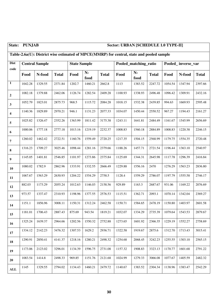| State:                  | <b>PUNJAB</b><br>Sector: URBAN [SCHEDULE 1.0 TYPE-II] |                                                                                           |              |                     |              |              |                       |              |              |                    |         |              |
|-------------------------|-------------------------------------------------------|-------------------------------------------------------------------------------------------|--------------|---------------------|--------------|--------------|-----------------------|--------------|--------------|--------------------|---------|--------------|
|                         |                                                       | Table-2.6a(U): District wise estimated of MPCE(MMRP) for central, state and pooled sample |              |                     |              |              |                       |              |              |                    |         |              |
| <b>Dist</b>             |                                                       | <b>Central Sample</b>                                                                     |              | <b>State Sample</b> |              |              | Pooled_matching_ratio |              |              | Pooled_inverse_var |         |              |
| code                    | Food                                                  | N-food                                                                                    | <b>Total</b> | Food                | $N-$<br>food | <b>Total</b> | Food                  | $N-$<br>food | <b>Total</b> | Food               | N-food  | <b>Total</b> |
| $\mathbf 1$             | 1042.28                                               | 1329.55                                                                                   | 2371.84      | 1202.7              | 1460.21      | 2662.8       | 1113                  | 1383.52      | 2247.72      | 1054.54            | 1347.94 | 2397.66      |
| $\overline{2}$          | 1082.18                                               | 1379.88                                                                                   | 2462.06      | 1126.74             | 1282.54      | 2409.28      | 1100.93               | 1338.93      | 2496.48      | 1096.42            | 1309.91 | 2432.16      |
| $\overline{\mathbf{3}}$ | 1052.79                                               | 1823.01                                                                                   | 2875.73      | 968.5               | 1115.72      | 2084.28      | 1018.15               | 1532.38      | 2439.85      | 994.63             | 1669.93 | 2595.48      |
| $\boldsymbol{4}$        | 1140.36                                               | 1829.89                                                                                   | 2970.21      | 946.1               | 1131.23      | 2077.33      | 1034.07               | 1450.44      | 2550.52      | 967.27             | 1194.43 | 2161.27      |
| $\sqrt{5}$              | 1025.82                                               | 1326.47                                                                                   | 2352.26      | 1363.99             | 1811.42      | 3175.38      | 1243.11               | 1641.81      | 2484.49      | 1161.67            | 1545.99 | 2656.69      |
| 6                       | 1000.06                                               | 1777.18                                                                                   | 2777.18      | 1013.16             | 1219.19      | 2232.37      | 1008.83               | 1560.18      | 2884.89      | 1008.83            | 1220.38 | 2246.15      |
| $\overline{7}$          | 1260.02                                               | 1462.42                                                                                   | 2722.51      | 1160.76             | 1559.49      | 2720.25      | 1217.35               | 1504.15      | 2568.99      | 1179.75            | 1554.35 | 2720.48      |
| $\bf 8$                 | 1316.23                                               | 1709.27                                                                                   | 3025.46      | 1098.44             | 1281.16      | 2379.66      | 1188.26               | 1457.71      | 2721.54      | 1196.44            | 1363.10 | 2540.97      |
| 9                       | 1145.05                                               | 1401.81                                                                                   | 2546.85      | 1101.97             | 1273.86      | 2375.84      | 1125.69               | 1344.31      | 2645.98      | 1117.78            | 1296.39 | 2416.84      |
| 10                      | 1080.02                                               | 1782.9                                                                                    | 2862.96      | 1333.91             | 1332.55      | 2666.49      | 1229.88               | 1556.16      | 2470         | 1276.29            | 1563.23 | 2836.80      |
| 11                      | 1067.67                                               | 1563.29                                                                                   | 2630.93      | 1204.22             | 1554.29      | 2758.5       | 1128.4                | 1559.29      | 2786.07      | 1197.79            | 1555.58 | 2746.17      |
| 12                      | 882.03                                                | 1173.29                                                                                   | 2055.24      | 1012.63             | 1146.03      | 2158.56      | 929.89                | 1163.3       | 2687.67      | 931.06             | 1169.22 | 2076.69      |
| 13                      | 973.57                                                | 1337.47                                                                                   | 2310.93      | 1198.96             | 1377.55      | 2576.53      | 1115.51               | 1362.71      | 2093.1       | 1070.14            | 1342.04 | 2369.27      |
| 14                      | 1151.1                                                | 1856.96                                                                                   | 3008.11      | 1150.31             | 1312.24      | 2462.58      | 1150.71               | 1584.65      | 2478.19      | 1150.80            | 1403.97 | 2601.58      |
| 15                      | 1181.01                                               | 1706.43                                                                                   | 2887.43      | 875.69              | 943.54       | 1819.21      | 1032.07               | 1334.29      | 2735.39      | 1079.64            | 1543.53 | 2879.67      |
| 16                      | 1325.24                                               | 1639.37                                                                                   | 2964.66      | 1202.56             | 1550.32      | 2752.88      | 1273.65               | 1601.92      | 2366.35      | 1229.19            | 1552.27 | 2758.69      |
| 17                      | 1334.12                                               | 2142.23                                                                                   | 3476.32      | 1307.53             | 1629.2       | 2936.71      | 1322.58               | 1919.67      | 2875.6       | 1312.70            | 1713.43 | 3015.41      |
| 18                      | 1290.91                                               | 2850.41                                                                                   | 4141.37      | 1218.16             | 1280.21      | 2498.32      | 1254.68               | 2068.45      | 3242.23      | 1255.55            | 1303.10 | 2565.15      |
| 19                      | 1173.06                                               | 2123.02                                                                                   | 3296.01      | 1134.39             | 1596.75      | 2731.08      | 1157.32               | 1908.83      | 3323.13      | 1170.77            | 1601.68 | 2791.22      |
| 20                      | 1083.54                                               | 1414.8                                                                                    | 2498.33      | 969.85              | 1151.76      | 2121.68      | 1024.99               | 1279.33      | 3066.08      | 1077.67            | 1405.59 | 2482.32      |
| <b>ALL</b>              | 1145                                                  | 1329.55                                                                                   | 2794.02      | 1134.43             | 1460.21      | 2479.72      | 1140.67               | 1383.52      | 2304.34      | 1138.96            | 1383.47 | 2542.29      |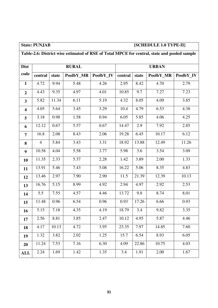| <b>State: PUNJAB</b> |  |
|----------------------|--|
|                      |  |

# **SCHEDULE 1.0 TYPE-II]**

|                         | Table-2.6: District wise estimated of RSE of Total MPCE for central, state and pooled sample |       |              |           |         |       |              |           |  |  |  |  |
|-------------------------|----------------------------------------------------------------------------------------------|-------|--------------|-----------|---------|-------|--------------|-----------|--|--|--|--|
| <b>Dist</b>             |                                                                                              |       | <b>RURAL</b> |           |         |       | <b>URBAN</b> |           |  |  |  |  |
| code                    | central                                                                                      | state | PoolbY_MR    | PoolbY_IV | central | state | PoolbY_MR    | PoolbY_IV |  |  |  |  |
| $\mathbf{1}$            | 4.72                                                                                         | 9.94  | 5.48         | 4.26      | 2.95    | 8.42  | 4.70         | 2.79      |  |  |  |  |
| $\overline{2}$          | 4.43                                                                                         | 9.35  | 4.97         | 4.01      | 10.85   | 9.7   | 7.27         | 7.23      |  |  |  |  |
| $\mathbf{3}$            | 5.82                                                                                         | 11.34 | 6.11         | 5.19      | 4.32    | 8.05  | 4.09         | 3.85      |  |  |  |  |
| $\overline{\mathbf{4}}$ | 4.05                                                                                         | 5.64  | 3.45         | 3.29      | 10.4    | 4.79  | 6.53         | 4.38      |  |  |  |  |
| 5                       | 3.18                                                                                         | 0.98  | 1.58         | 0.94      | 6.05    | 5.85  | 4.06         | 4.25      |  |  |  |  |
| 6                       | 12.12                                                                                        | 0.67  | 5.57         | 0.67      | 14.47   | 2.9   | 7.92         | 2.85      |  |  |  |  |
| $\overline{7}$          | 16.8                                                                                         | 2.08  | 8.43         | 2.06      | 19.28   | 6.45  | 10.17        | 6.12      |  |  |  |  |
| 8                       | $\overline{4}$                                                                               | 5.84  | 3.43         | 3.31      | 18.92   | 13.88 | 12.49        | 11.26     |  |  |  |  |
| 9                       | 10.58                                                                                        | 4.04  | 5.58         | 3.77      | 5.98    | 3.6   | 3.54         | 3.09      |  |  |  |  |
| 10                      | 11.35                                                                                        | 2.33  | 5.37         | 2.28      | 1.42    | 3.89  | 2.00         | 1.33      |  |  |  |  |
| 11                      | 13.91                                                                                        | 5.46  | 7.43         | 5.08      | 16.22   | 5.06  | 8.35         | 4.83      |  |  |  |  |
| 12                      | 13.46                                                                                        | 2.97  | 7.90         | 2.90      | 11.5    | 21.39 | 12.39        | 10.13     |  |  |  |  |
| 13                      | 16.76                                                                                        | 5.15  | 8.99         | 4.92      | 2.94    | 4.97  | 2.92         | 2.53      |  |  |  |  |
| 14                      | 5.5                                                                                          | 7.55  | 4.57         | 4.46      | 13.72   | 9.8   | 8.74         | 8.01      |  |  |  |  |
| 15                      | 11.48                                                                                        | 0.96  | 6.54         | 0.96      | 0.93    | 17.26 | 6.66         | 0.93      |  |  |  |  |
| 16                      | 5.15                                                                                         | 7.18  | 4.35         | 4.19      | 18.79   | 3.4   | 9.82         | 3.35      |  |  |  |  |
| 17                      | 2.56                                                                                         | 8.81  | 3.85         | 2.47      | 10.12   | 4.95  | 5.87         | 4.46      |  |  |  |  |
| 18                      | 4.17                                                                                         | 10.13 | 4.72         | 3.95      | 23.35   | 7.97  | 14.85        | 7.60      |  |  |  |  |
| 19                      | 1.32                                                                                         | 3.82  | 2.02         | 1.25      | 15.7    | 6.54  | 8.93         | 6.05      |  |  |  |  |
| 20                      | 11.24                                                                                        | 7.53  | 7.16         | 6.30      | 4.09    | 22.86 | 10.75        | 4.03      |  |  |  |  |
| <b>ALL</b>              | 2.24                                                                                         | 1.69  | 1.42         | 1.35      | 3.4     | 1.91  | 2.00         | 1.67      |  |  |  |  |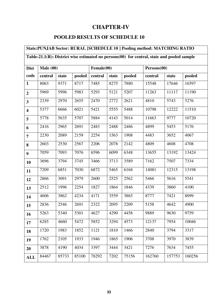# **CHAPTER-IV**

### **POOLED RESULTS OF SCHEDULE 10**

# **State:PUNJAB Sector: RURAL [SCHEDULE 10 ] Pooling method: MATCHING RATIO Table-21.1(R): District wise estimated no persons(00) for central, state and pooled sample Dist code Male (00) Female(00) Persons(00)**  central state pooled central state pooled central state pooled 8063 | 9371 | 8717 | 7485 | 8275 | 7880 | 15548 | 17646 | 16597 | 5969 | 5996 | 5983 | 5293 | 5121 | 5207 | 11263 | 11117 | 11190 2339 2970 2655 2470 2772 2621 4810 5743 5276 5377 6666 6021 5421 5555 5488 10798 12222 11510 | 5778 | 5635 | 5707 | 5884 | 4143 | 5014 | 11663 | 9777 | 10720 2416 2965 2691 2483 2488 2486 4899 5453 5176 2230 2089 2159 2254 1563 1908 4483 3652 4067 2603 2530 2567 2206 2078 2142 4809 4608 4708 7059 7093 7076 6596 6099 6348 13655 13192 13424 3696 3794 3745 3466 3713 3589 7162 7507 7334 7209 6851 7030 6872 5465 6168 14081 12315 13198 2866 3091 2979 2600 2525 2562 5466 5616 5541 2512 1996 2254 1827 1864 1846 4339 3860 4100  $\begin{array}{|l} 4606 \end{array}$  3862  $\begin{array}{|l} 4234 \end{array}$  4171  $\begin{array}{|l} 3559 \end{array}$  3865  $\begin{array}{|l} 8777 \end{array}$  7421  $\begin{array}{|l} 8099 \end{array}$ 15 | 2836 | 2546 | 2691 | 2322 | 2095 | 2209 | 5158 | 4642 | 4900 5263 5340 5301 4627 4290 4458 9889 9630 9759 6285 4660 5472 5852 3294 4573 12137 7954 10046 1720 1983 1852 1121 1810 1466 2840 3794 3317 19 | 1762 | 2105 | 1933 | 1946 | 1865 | 1906 | 3708 | 3970 | 3839 3878 4190 4034 3397 3444 3421 7276 7634 7455 **ALL** 84467 85733 85100 78292 7202 75156 162760 157753 160256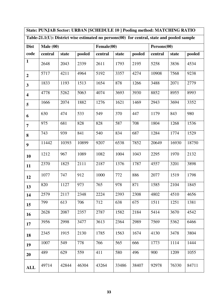**State: PUNJAB Sector: URBAN [SCHEDULE 10 ] Pooling method: MATCHING RATIO Table-21.1(U): District wise estimated no persons(00) for central, state and pooled sample** 

| <b>Dist</b>             | Male(00) |       |        | Female(00) |       |        |         | Persons(00) |        |  |  |
|-------------------------|----------|-------|--------|------------|-------|--------|---------|-------------|--------|--|--|
| code                    | central  | state | pooled | central    | state | pooled | central | state       | pooled |  |  |
| $\mathbf{1}$            | 2648     | 2043  | 2339   | 2611       | 1793  | 2195   | 5258    | 3836        | 4534   |  |  |
| $\boldsymbol{2}$        | 5717     | 4211  | 4964   | 5192       | 3357  | 4274   | 10908   | 7568        | 9238   |  |  |
| $\overline{\mathbf{3}}$ | 1833     | 1193  | 1513   | 1654       | 878   | 1266   | 3488    | 2071        | 2779   |  |  |
| $\overline{\mathbf{4}}$ | 4778     | 5262  | 5063   | 4074       | 3693  | 3930   | 8852    | 8955        | 8993   |  |  |
| 5                       | 1666     | 2074  | 1882   | 1276       | 1621  | 1469   | 2943    | 3694        | 3352   |  |  |
| 6                       | 630      | 474   | 533    | 549        | 370   | 447    | 1179    | 843         | 980    |  |  |
| $\overline{7}$          | 975      | 681   | 828    | 828        | 587   | 708    | 1804    | 1268        | 1536   |  |  |
| 8                       | 743      | 939   | 841    | 540        | 834   | 687    | 1284    | 1774        | 1529   |  |  |
| $\boldsymbol{9}$        | 11442    | 10393 | 10899  | 9207       | 6538  | 7852   | 20649   | 16930       | 18750  |  |  |
| 10                      | 1212     | 967   | 1089   | 1082       | 1004  | 1043   | 2295    | 1970        | 2132   |  |  |
| 11                      | 2370     | 1825  | 2111   | 2187       | 1376  | 1787   | 4557    | 3201        | 3898   |  |  |
| 12                      | 1077     | 747   | 912    | 1000       | 772   | 886    | 2077    | 1519        | 1798   |  |  |
| 13                      | 820      | 1127  | 973    | 765        | 978   | 871    | 1585    | 2104        | 1845   |  |  |
| 14                      | 2579     | 2117  | 2348   | 2224       | 2393  | 2308   | 4802    | 4510        | 4656   |  |  |
| 15                      | 799      | 613   | 706    | 712        | 638   | 675    | 1511    | 1251        | 1381   |  |  |
| 16                      | 2628     | 2087  | 2357   | 2787       | 1582  | 2184   | 5414    | 3670        | 4542   |  |  |
| 17                      | 3956     | 2998  | 3477   | 3613       | 2364  | 2989   | 7569    | 5362        | 6466   |  |  |
| 18                      | 2345     | 1915  | 2130   | 1785       | 1563  | 1674   | 4130    | 3478        | 3804   |  |  |
| 19                      | 1007     | 549   | 778    | 766        | 565   | 666    | 1773    | 1114        | 1444   |  |  |
| 20                      | 489      | 629   | 559    | 411        | 580   | 496    | 900     | 1209        | 1055   |  |  |
| <b>ALL</b>              | 49714    | 42844 | 46304  | 43264      | 33486 | 38407  | 92978   | 76330       | 84711  |  |  |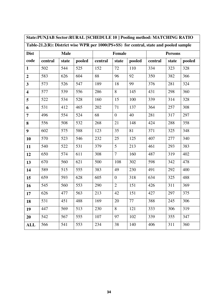| State:PUNJAB Sector:RURAL [SCHEDULE 10] Pooling method: MATCHING RATIO |                                                                                       |             |        |         |                  |        |                |       |        |  |  |
|------------------------------------------------------------------------|---------------------------------------------------------------------------------------|-------------|--------|---------|------------------|--------|----------------|-------|--------|--|--|
|                                                                        | Table-21.2(R): District wise WPR per 1000(PS+SS) for central, state and pooled sample |             |        |         |                  |        |                |       |        |  |  |
| <b>Dist</b>                                                            |                                                                                       | <b>Male</b> |        |         | Female           |        | <b>Persons</b> |       |        |  |  |
| code                                                                   | central                                                                               | state       | pooled | central | state            | pooled | central        | state | pooled |  |  |
| $\mathbf{1}$                                                           | 502                                                                                   | 544         | 525    | 152     | 72               | 110    | 334            | 323   | 328    |  |  |
| $\overline{2}$                                                         | 583                                                                                   | 626         | 604    | 88      | 96               | 92     | 350            | 382   | 366    |  |  |
| $\overline{\mathbf{3}}$                                                | 573                                                                                   | 526         | 547    | 189     | 18               | 99     | 376            | 281   | 324    |  |  |
| $\overline{\mathbf{4}}$                                                | 577                                                                                   | 539         | 556    | 286     | 8                | 145    | 431            | 298   | 360    |  |  |
| 5                                                                      | 522                                                                                   | 534         | 528    | 160     | 15               | 100    | 339            | 314   | 328    |  |  |
| 6                                                                      | 531                                                                                   | 412         | 465    | 202     | 71               | 137    | 364            | 257   | 308    |  |  |
| $\overline{7}$                                                         | 496                                                                                   | 554         | 524    | 68      | $\boldsymbol{0}$ | 40     | 281            | 317   | 297    |  |  |
| 8                                                                      | 556                                                                                   | 508         | 532    | 268     | 21               | 148    | 424            | 288   | 358    |  |  |
| $\boldsymbol{9}$                                                       | 602                                                                                   | 575         | 588    | 123     | 35               | 81     | 371            | 325   | 348    |  |  |
| 10                                                                     | 570                                                                                   | 523         | 546    | 232     | 25               | 125    | 407            | 277   | 340    |  |  |
| 11                                                                     | 540                                                                                   | 522         | 531    | 379     | $5\overline{)}$  | 213    | 461            | 293   | 383    |  |  |
| 12                                                                     | 650                                                                                   | 574         | 611    | 308     | $\overline{7}$   | 160    | 487            | 319   | 402    |  |  |
| 13                                                                     | 670                                                                                   | 560         | 621    | 500     | 108              | 302    | 598            | 342   | 478    |  |  |
| 14                                                                     | 589                                                                                   | 515         | 555    | 383     | 49               | 230    | 491            | 292   | 400    |  |  |
| 15                                                                     | 659                                                                                   | 593         | 628    | 605     | $\overline{0}$   | 318    | 634            | 325   | 488    |  |  |
| 16                                                                     | 545                                                                                   | 560         | 553    | 290     | $\overline{2}$   | 151    | 426            | 311   | 369    |  |  |
| 17                                                                     | 626                                                                                   | 477         | 563    | 213     | 42               | 151    | 427            | 297   | 375    |  |  |
| 18                                                                     | 531                                                                                   | 451         | 488    | 169     | 20               | 77     | 388            | 245   | 306    |  |  |
| 19                                                                     | 447                                                                                   | 569         | 513    | 230     | 8                | 121    | 333            | 306   | 319    |  |  |
| 20                                                                     | 542                                                                                   | 567         | 555    | 107     | 97               | 102    | 339            | 355   | 347    |  |  |
| <b>ALL</b>                                                             | 566                                                                                   | 541         | 553    | 234     | 38               | 140    | 406            | 311   | 360    |  |  |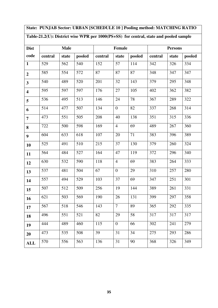# **State: PUNJAB Sector: URBAN [SCHEDULE 10 ] Pooling method: MATCHING RATIO**

# **Table-21.2(U): District wise WPR per 1000(PS+SS) for central, state and pooled sample**

| <b>Dist</b>             |         | <b>Male</b> |        |         | Female         |        | <b>Persons</b> |       |        |  |
|-------------------------|---------|-------------|--------|---------|----------------|--------|----------------|-------|--------|--|
| code                    | central | state       | pooled | central | state          | pooled | central        | state | pooled |  |
| $\mathbf{1}$            | 529     | 562         | 540    | 152     | 57             | 114    | 342            | 326   | 334    |  |
| $\overline{2}$          | 585     | 554         | 572    | 87      | 87             | 87     | 348            | 347   | 347    |  |
| $\overline{\mathbf{3}}$ | 540     | 489         | 520    | 201     | 32             | 143    | 379            | 295   | 348    |  |
| $\overline{\mathbf{4}}$ | 595     | 597         | 597    | 176     | 27             | 105    | 402            | 362   | 382    |  |
| 5                       | 536     | 495         | 513    | 146     | 24             | 78     | 367            | 289   | 322    |  |
| 6                       | 514     | 477         | 507    | 134     | $\overline{0}$ | 82     | 337            | 268   | 314    |  |
| $\overline{7}$          | 473     | 551         | 505    | 208     | 40             | 138    | 351            | 315   | 336    |  |
| 8                       | 722     | 500         | 598    | 169     | $\overline{4}$ | 69     | 489            | 267   | 360    |  |
| $\boldsymbol{9}$        | 604     | 633         | 618    | 107     | 20             | 71     | 383            | 396   | 389    |  |
| 10                      | 525     | 491         | 510    | 215     | 37             | 130    | 379            | 260   | 324    |  |
| 11                      | 564     | 484         | 527    | 164     | 47             | 119    | 372            | 296   | 340    |  |
| 12                      | 630     | 532         | 590    | 118     | $\overline{4}$ | 69     | 383            | 264   | 333    |  |
| 13                      | 537     | 481         | 504    | 67      | $\overline{0}$ | 29     | 310            | 257   | 280    |  |
| 14                      | 557     | 494         | 529    | 103     | 37             | 69     | 347            | 251   | 301    |  |
| 15                      | 507     | 512         | 509    | 256     | 19             | 144    | 389            | 261   | 331    |  |
| 16                      | 621     | 503         | 569    | 190     | 26             | 131    | 399            | 297   | 358    |  |
| 17                      | 567     | 518         | 546    | 143     | $\tau$         | 89     | 365            | 292   | 335    |  |
| 18                      | 496     | 551         | 521    | 82      | 29             | 58     | 317            | 317   | 317    |  |
| 19                      | 444     | 489         | 460    | 115     | $\overline{0}$ | 66     | 302            | 241   | 279    |  |
| 20                      | 473     | 535         | 508    | 39      | 31             | 34     | 275            | 293   | 286    |  |
| <b>ALL</b>              | 570     | 556         | 563    | 136     | 31             | 90     | 368            | 326   | 349    |  |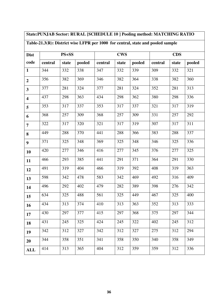# **State:PUNJAB Sector: RURAL [SCHEDULE 10 ] Pooling method: MATCHING RATIO**

# **Table-21.3(R): District wise LFPR per 1000 for central, state and pooled sample**

| <b>Dist</b>             |         | $PS + SS$ |        |         | <b>CWS</b> |        | <b>CDS</b> |       |        |  |
|-------------------------|---------|-----------|--------|---------|------------|--------|------------|-------|--------|--|
| code                    | central | state     | pooled | central | state      | pooled | central    | state | pooled |  |
| $\mathbf{1}$            | 344     | 332       | 338    | 347     | 332        | 339    | 309        | 332   | 321    |  |
| $\overline{2}$          | 356     | 382       | 369    | 346     | 382        | 364    | 338        | 382   | 360    |  |
| $\overline{\mathbf{3}}$ | 377     | 281       | 324    | 377     | 281        | 324    | 352        | 281   | 313    |  |
| $\overline{\mathbf{4}}$ | 437     | 298       | 363    | 434     | 298        | 362    | 380        | 298   | 336    |  |
| 5                       | 353     | 317       | 337    | 353     | 317        | 337    | 321        | 317   | 319    |  |
| 6                       | 368     | 257       | 309    | 368     | 257        | 309    | 331        | 257   | 292    |  |
| $\overline{7}$          | 322     | 317       | 320    | 321     | 317        | 319    | 307        | 317   | 311    |  |
| 8                       | 449     | 288       | 370    | 441     | 288        | 366    | 383        | 288   | 337    |  |
| $\boldsymbol{9}$        | 371     | 325       | 348    | 369     | 325        | 348    | 346        | 325   | 336    |  |
| 10                      | 420     | 277       | 346    | 416     | 277        | 345    | 376        | 277   | 325    |  |
| 11                      | 466     | 293       | 385    | 441     | 291        | 371    | 364        | 291   | 330    |  |
| 12                      | 491     | 319       | 404    | 466     | 319        | 392    | 408        | 319   | 363    |  |
| 13                      | 598     | 342       | 478    | 583     | 342        | 469    | 492        | 316   | 409    |  |
| 14                      | 496     | 292       | 402    | 479     | 282        | 389    | 398        | 276   | 342    |  |
| 15                      | 634     | 325       | 488    | 561     | 325        | 449    | 467        | 325   | 400    |  |
| 16                      | 434     | 313       | 374    | 410     | 313        | 363    | 352        | 313   | 333    |  |
| 17                      | 430     | 297       | 377    | 415     | 297        | 368    | 375        | 297   | 344    |  |
| 18                      | 431     | 245       | 325    | 424     | 245        | 322    | 402        | 245   | 312    |  |
| 19                      | 342     | 312       | 327    | 342     | 312        | 327    | 275        | 312   | 294    |  |
| 20                      | 344     | 358       | 351    | 341     | 358        | 350    | 340        | 358   | 349    |  |
| <b>ALL</b>              | 414     | 313       | 365    | 404     | 312        | 359    | 359        | 312   | 336    |  |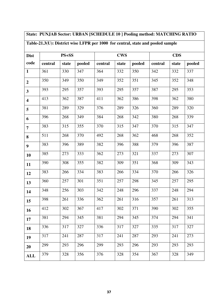# **State: PUNJAB Sector: URBAN [SCHEDULE 10 ] Pooling method: MATCHING RATIO**

# **Table-21.3(U): District wise LFPR per 1000 for central, state and pooled sample**

| <b>Dist</b>             | PS+SS   |       |        |         | <b>CWS</b> |        | <b>CDS</b> |       |        |  |
|-------------------------|---------|-------|--------|---------|------------|--------|------------|-------|--------|--|
| code                    | central | state | pooled | central | state      | pooled | central    | state | pooled |  |
| $\mathbf{1}$            | 361     | 330   | 347    | 364     | 332        | 350    | 342        | 332   | 337    |  |
| $\boldsymbol{2}$        | 350     | 349   | 350    | 349     | 352        | 351    | 345        | 352   | 348    |  |
| $\overline{\mathbf{3}}$ | 393     | 295   | 357    | 393     | 295        | 357    | 387        | 295   | 353    |  |
| $\overline{\mathbf{4}}$ | 413     | 362   | 387    | 411     | 362        | 386    | 398        | 362   | 380    |  |
| 5                       | 381     | 289   | 329    | 376     | 289        | 326    | 360        | 289   | 320    |  |
| 6                       | 396     | 268   | 349    | 384     | 268        | 342    | 380        | 268   | 339    |  |
| $\overline{7}$          | 383     | 315   | 355    | 370     | 315        | 347    | 370        | 315   | 347    |  |
| 8                       | 511     | 268   | 370    | 492     | 268        | 362    | 468        | 268   | 352    |  |
| $\boldsymbol{9}$        | 383     | 396   | 389    | 382     | 396        | 388    | 379        | 396   | 387    |  |
| 10                      | 385     | 273   | 333    | 362     | 273        | 321    | 337        | 273   | 307    |  |
| 11                      | 390     | 308   | 355    | 382     | 309        | 351    | 368        | 309   | 343    |  |
| 12                      | 383     | 266   | 334    | 383     | 266        | 334    | 370        | 266   | 326    |  |
| 13                      | 360     | 257   | 301    | 351     | 257        | 298    | 345        | 257   | 295    |  |
| 14                      | 348     | 256   | 303    | 342     | 248        | 296    | 337        | 248   | 294    |  |
| 15                      | 398     | 261   | 336    | 362     | 261        | 316    | 357        | 261   | 313    |  |
| 16                      | 412     | 302   | 367    | 417     | 302        | 371    | 390        | 302   | 355    |  |
| 17                      | 381     | 294   | 345    | 381     | 294        | 345    | 374        | 294   | 341    |  |
| 18                      | 336     | 317   | 327    | 336     | 317        | 327    | 335        | 317   | 327    |  |
| 19                      | 317     | 241   | 287    | 317     | 241        | 287    | 293        | 241   | 273    |  |
| 20                      | 299     | 293   | 296    | 299     | 293        | 296    | 293        | 293   | 293    |  |
| <b>ALL</b>              | 379     | 328   | 356    | 376     | 328        | 354    | 367        | 328   | 349    |  |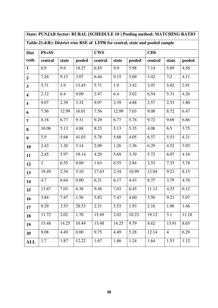|                         | State: PUNJAB Sector: RURAL [SCHEDULE 10] Pooling method: MATCHING RATIO      |       |        |            |       |        |            |                |        |  |  |
|-------------------------|-------------------------------------------------------------------------------|-------|--------|------------|-------|--------|------------|----------------|--------|--|--|
|                         | Table-21.4(R): District wise RSE of LFPR for central, state and pooled sample |       |        |            |       |        |            |                |        |  |  |
| <b>Dist</b>             | $PS + SS$                                                                     |       |        | <b>CWS</b> |       |        | <b>CDS</b> |                |        |  |  |
| code                    | central                                                                       | state | pooled | central    | state | pooled | central    | state          | pooled |  |  |
| $\mathbf{1}$            | 6.9                                                                           | 9.9   | 18.27  | 6.85       | 9.9   | 5.98   | 7.14       | 5.89           | 4.58   |  |  |
| $\overline{2}$          | 7.26                                                                          | 9.15  | 3.07   | 6.44       | 9.15  | 5.69   | 3.42       | 7.2            | 4.11   |  |  |
| $\overline{\mathbf{3}}$ | 5.71                                                                          | 1.9   | 13.45  | 5.71       | 1.9   | 3.42   | 3.07       | 5.02           | 2.91   |  |  |
| $\overline{\mathbf{4}}$ | 2.12                                                                          | 6.4   | 0.00   | 2.47       | 6.4   | 3.02   | 6.54       | 5.31           | 4.26   |  |  |
| 5                       | 9.07                                                                          | 2.39  | 3.32   | 9.07       | 2.39  | 4.88   | 2.57       | 2.53           | 1.80   |  |  |
| 6                       | 7.56                                                                          | 12.99 | 16.01  | 7.56       | 12.99 | 7.03   | 9.08       | 8.72           | 6.47   |  |  |
| $\overline{7}$          | 8.18                                                                          | 6.77  | 9.31   | 9.29       | 6.77  | 5.76   | 9.72       | 9.69           | 6.86   |  |  |
| 8                       | 10.08                                                                         | 5.13  | 4.88   | 8.23       | 5.13  | 5.35   | 4.08       | 6.5            | 3.75   |  |  |
| $\boldsymbol{9}$        | 5.9                                                                           | 5.68  | 41.03  | 5.78       | 5.68  | 4.05   | 6.57       | 5.53           | 4.31   |  |  |
| 10                      | 2.43                                                                          | 1.26  | 3.14   | 2.09       | 1.26  | 1.36   | 6.29       | 4.52           | 3.93   |  |  |
| 11                      | 2.45                                                                          | 5.97  | 19.14  | 4.29       | 5.69  | 3.39   | 5.72       | 6.07           | 4.16   |  |  |
| 12                      | $\overline{2}$                                                                | 6.55  | 0.00   | 1.63       | 6.55  | 2.84   | 2.53       | 7.35           | 3.78   |  |  |
| 13                      | 19.49                                                                         | 2.34  | 5.10   | 17.63      | 2.34  | 10.99  | 13.04      | 9.21           | 8.15   |  |  |
| 14                      | 4.7                                                                           | 6.64  | 0.00   | 6.21       | 6.17  | 4.43   | 8.37       | 3.79           | 4.76   |  |  |
| 15                      | 13.67                                                                         | 7.03  | 6.38   | 9.48       | 7.03  | 6.45   | 11.12      | 4.23           | 6.12   |  |  |
| 16                      | 3.84                                                                          | 7.47  | 1.56   | 5.82       | 7.47  | 4.60   | 3.56       | 9.21           | 5.07   |  |  |
| 17                      | 0.29                                                                          | 3.53  | 28.53  | 2.31       | 3.53  | 1.93   | 2.16       | 1.96           | 1.46   |  |  |
| 18                      | 11.72                                                                         | 2.02  | 1.70   | 15.49      | 2.02  | 10.23  | 19.12      | 3.1            | 11.18  |  |  |
| 19                      | 13.48                                                                         | 14.25 | 10.49  | 13.48      | 14.25 | 9.79   | 8.62       | 13.91          | 8.65   |  |  |
| 20                      | 9.08                                                                          | 4.49  | 0.00   | 9.75       | 4.49  | 5.28   | 12.14      | $\overline{4}$ | 6.29   |  |  |
| <b>ALL</b>              | 1.7                                                                           | 1.87  | 12.22  | 1.67       | 1.86  | 1.24   | 1.64       | 1.53           | 1.12   |  |  |

┑